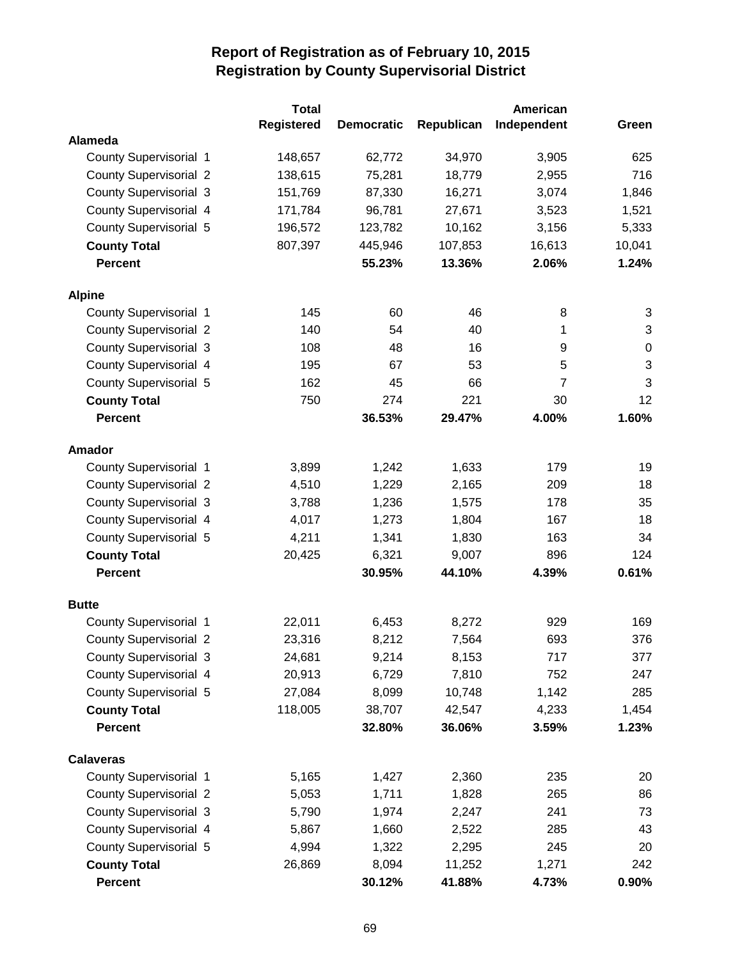|                               | <b>Total</b>      |                   |            | American       |              |
|-------------------------------|-------------------|-------------------|------------|----------------|--------------|
|                               | <b>Registered</b> | <b>Democratic</b> | Republican | Independent    | Green        |
| Alameda                       |                   |                   |            |                |              |
| County Supervisorial 1        | 148,657           | 62,772            | 34,970     | 3,905          | 625          |
| <b>County Supervisorial 2</b> | 138,615           | 75,281            | 18,779     | 2,955          | 716          |
| <b>County Supervisorial 3</b> | 151,769           | 87,330            | 16,271     | 3,074          | 1,846        |
| County Supervisorial 4        | 171,784           | 96,781            | 27,671     | 3,523          | 1,521        |
| County Supervisorial 5        | 196,572           | 123,782           | 10,162     | 3,156          | 5,333        |
| <b>County Total</b>           | 807,397           | 445,946           | 107,853    | 16,613         | 10,041       |
| <b>Percent</b>                |                   | 55.23%            | 13.36%     | 2.06%          | 1.24%        |
| <b>Alpine</b>                 |                   |                   |            |                |              |
| County Supervisorial 1        | 145               | 60                | 46         | 8              | 3            |
| <b>County Supervisorial 2</b> | 140               | 54                | 40         | 1              | 3            |
| <b>County Supervisorial 3</b> | 108               | 48                | 16         | 9              | $\pmb{0}$    |
| County Supervisorial 4        | 195               | 67                | 53         | 5              | $\mathbf{3}$ |
| County Supervisorial 5        | 162               | 45                | 66         | $\overline{7}$ | 3            |
| <b>County Total</b>           | 750               | 274               | 221        | 30             | 12           |
| <b>Percent</b>                |                   | 36.53%            | 29.47%     | 4.00%          | 1.60%        |
| <b>Amador</b>                 |                   |                   |            |                |              |
| <b>County Supervisorial 1</b> | 3,899             | 1,242             | 1,633      | 179            | 19           |
| <b>County Supervisorial 2</b> | 4,510             | 1,229             | 2,165      | 209            | 18           |
| <b>County Supervisorial 3</b> | 3,788             | 1,236             | 1,575      | 178            | 35           |
| <b>County Supervisorial 4</b> | 4,017             | 1,273             | 1,804      | 167            | 18           |
| <b>County Supervisorial 5</b> | 4,211             | 1,341             | 1,830      | 163            | 34           |
| <b>County Total</b>           | 20,425            | 6,321             | 9,007      | 896            | 124          |
| <b>Percent</b>                |                   | 30.95%            | 44.10%     | 4.39%          | 0.61%        |
| <b>Butte</b>                  |                   |                   |            |                |              |
| County Supervisorial 1        | 22,011            | 6,453             | 8,272      | 929            | 169          |
| <b>County Supervisorial 2</b> | 23,316            | 8,212             | 7,564      | 693            | 376          |
| <b>County Supervisorial 3</b> | 24,681            | 9,214             | 8,153      | 717            | 377          |
| County Supervisorial 4        | 20,913            | 6,729             | 7,810      | 752            | 247          |
| County Supervisorial 5        | 27,084            | 8,099             | 10,748     | 1,142          | 285          |
| <b>County Total</b>           | 118,005           | 38,707            | 42,547     | 4,233          | 1,454        |
| Percent                       |                   | 32.80%            | 36.06%     | 3.59%          | 1.23%        |
| <b>Calaveras</b>              |                   |                   |            |                |              |
| <b>County Supervisorial 1</b> | 5,165             | 1,427             | 2,360      | 235            | 20           |
| <b>County Supervisorial 2</b> | 5,053             | 1,711             | 1,828      | 265            | 86           |
| <b>County Supervisorial 3</b> | 5,790             | 1,974             | 2,247      | 241            | 73           |
| County Supervisorial 4        | 5,867             | 1,660             | 2,522      | 285            | 43           |
| County Supervisorial 5        | 4,994             | 1,322             | 2,295      | 245            | 20           |
| <b>County Total</b>           | 26,869            | 8,094             | 11,252     | 1,271          | 242          |
| Percent                       |                   | 30.12%            | 41.88%     | 4.73%          | $0.90\%$     |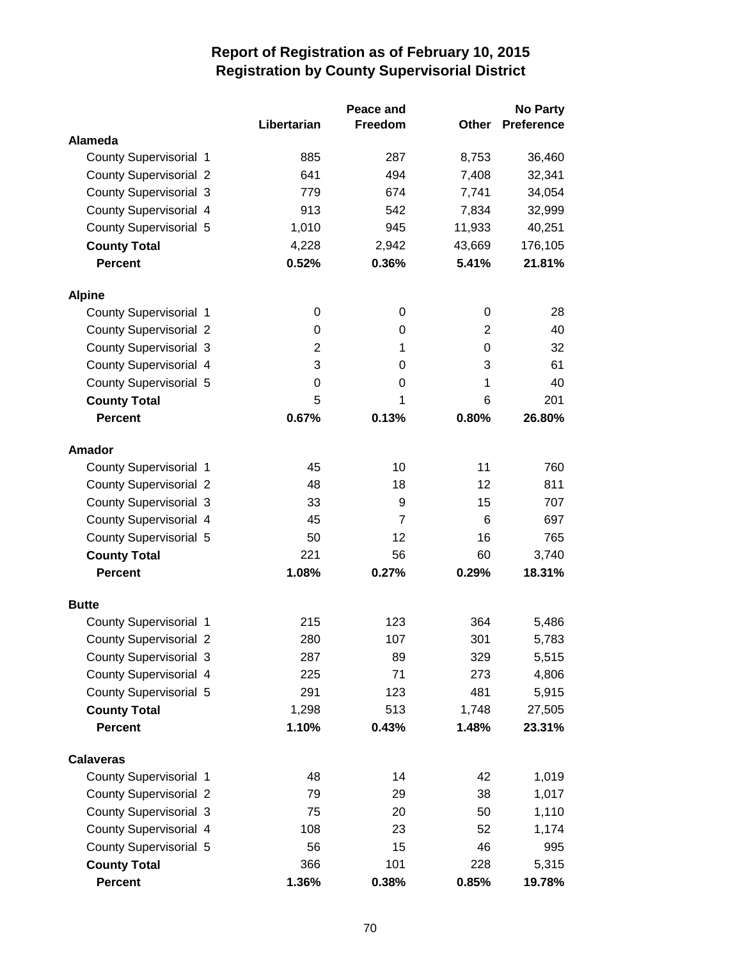|                               |             | Peace and      |              | <b>No Party</b>   |
|-------------------------------|-------------|----------------|--------------|-------------------|
|                               | Libertarian | Freedom        | <b>Other</b> | <b>Preference</b> |
| Alameda                       |             |                |              |                   |
| <b>County Supervisorial 1</b> | 885         | 287            | 8,753        | 36,460            |
| <b>County Supervisorial 2</b> | 641         | 494            | 7,408        | 32,341            |
| <b>County Supervisorial 3</b> | 779         | 674            | 7,741        | 34,054            |
| County Supervisorial 4        | 913         | 542            | 7,834        | 32,999            |
| County Supervisorial 5        | 1,010       | 945            | 11,933       | 40,251            |
| <b>County Total</b>           | 4,228       | 2,942          | 43,669       | 176,105           |
| <b>Percent</b>                | 0.52%       | 0.36%          | 5.41%        | 21.81%            |
| <b>Alpine</b>                 |             |                |              |                   |
| County Supervisorial 1        |             | 0<br>0         | 0            | 28                |
| <b>County Supervisorial 2</b> |             | 0<br>0         | 2            | 40                |
| <b>County Supervisorial 3</b> |             | 2<br>1         | 0            | 32                |
| County Supervisorial 4        |             | 3<br>0         | 3            | 61                |
| County Supervisorial 5        |             | 0<br>0         | 1            | 40                |
| <b>County Total</b>           |             | 5<br>1         | 6            | 201               |
| <b>Percent</b>                | 0.67%       | 0.13%          | 0.80%        | 26.80%            |
| <b>Amador</b>                 |             |                |              |                   |
| County Supervisorial 1        | 45          | 10             | 11           | 760               |
| <b>County Supervisorial 2</b> | 48          | 18             | 12           | 811               |
| <b>County Supervisorial 3</b> | 33          | 9              | 15           | 707               |
| County Supervisorial 4        | 45          | $\overline{7}$ | 6            | 697               |
| County Supervisorial 5        | 50          | 12             | 16           | 765               |
| <b>County Total</b>           | 221         | 56             | 60           | 3,740             |
| <b>Percent</b>                | 1.08%       | 0.27%          | 0.29%        | 18.31%            |
| <b>Butte</b>                  |             |                |              |                   |
| County Supervisorial 1        | 215         | 123            | 364          | 5,486             |
| <b>County Supervisorial 2</b> | 280         | 107            | 301          | 5,783             |
| <b>County Supervisorial 3</b> | 287         | 89             | 329          | 5,515             |
| County Supervisorial 4        | 225         | 71             | 273          | 4,806             |
| County Supervisorial 5        | 291         | 123            | 481          | 5,915             |
| <b>County Total</b>           | 1,298       | 513            | 1,748        | 27,505            |
| <b>Percent</b>                | 1.10%       | 0.43%          | 1.48%        | 23.31%            |
| <b>Calaveras</b>              |             |                |              |                   |
| <b>County Supervisorial 1</b> | 48          | 14             | 42           | 1,019             |
| <b>County Supervisorial 2</b> | 79          | 29             | 38           | 1,017             |
| <b>County Supervisorial 3</b> | 75          | 20             | 50           | 1,110             |
| County Supervisorial 4        | 108         | 23             | 52           | 1,174             |
| County Supervisorial 5        | 56          | 15             | 46           | 995               |
| <b>County Total</b>           | 366         | 101            | 228          | 5,315             |
| <b>Percent</b>                | 1.36%       | 0.38%          | 0.85%        | 19.78%            |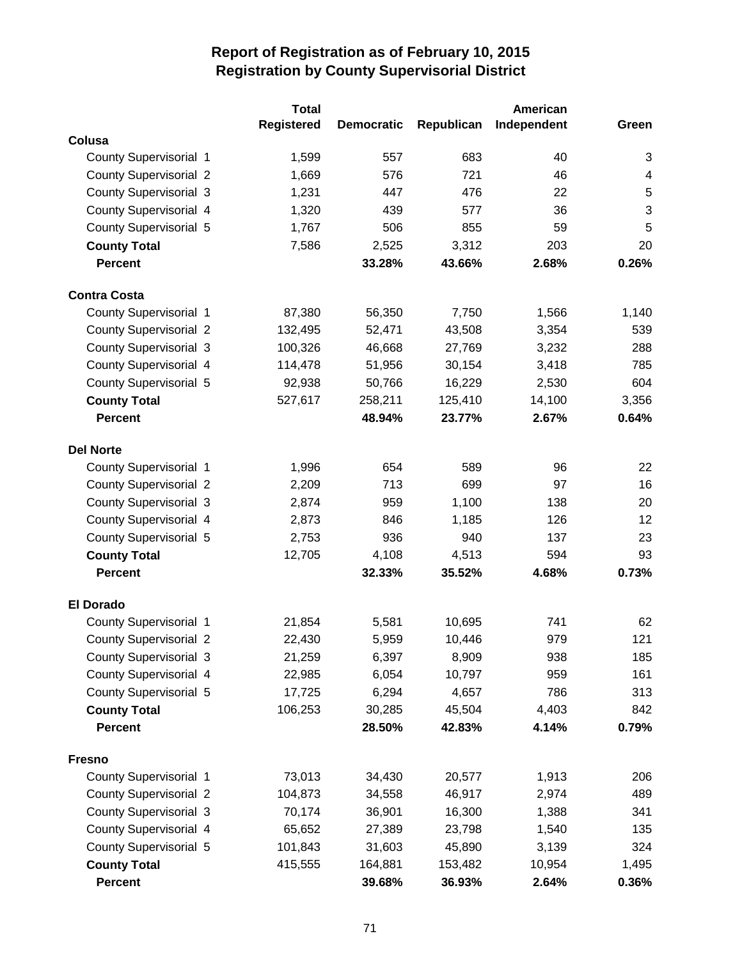|                               | <b>Total</b>      |                   |            | American    |                           |
|-------------------------------|-------------------|-------------------|------------|-------------|---------------------------|
|                               | <b>Registered</b> | <b>Democratic</b> | Republican | Independent | Green                     |
| Colusa                        |                   |                   |            |             |                           |
| <b>County Supervisorial 1</b> | 1,599             | 557               | 683        | 40          | 3                         |
| <b>County Supervisorial 2</b> | 1,669             | 576               | 721        | 46          | $\overline{4}$            |
| <b>County Supervisorial 3</b> | 1,231             | 447               | 476        | 22          | 5                         |
| County Supervisorial 4        | 1,320             | 439               | 577        | 36          | $\ensuremath{\mathsf{3}}$ |
| <b>County Supervisorial 5</b> | 1,767             | 506               | 855        | 59          | 5                         |
| <b>County Total</b>           | 7,586             | 2,525             | 3,312      | 203         | 20                        |
| <b>Percent</b>                |                   | 33.28%            | 43.66%     | 2.68%       | 0.26%                     |
| <b>Contra Costa</b>           |                   |                   |            |             |                           |
| County Supervisorial 1        | 87,380            | 56,350            | 7,750      | 1,566       | 1,140                     |
| <b>County Supervisorial 2</b> | 132,495           | 52,471            | 43,508     | 3,354       | 539                       |
| <b>County Supervisorial 3</b> | 100,326           | 46,668            | 27,769     | 3,232       | 288                       |
| <b>County Supervisorial 4</b> | 114,478           | 51,956            | 30,154     | 3,418       | 785                       |
| <b>County Supervisorial 5</b> | 92,938            | 50,766            | 16,229     | 2,530       | 604                       |
| <b>County Total</b>           | 527,617           | 258,211           | 125,410    | 14,100      | 3,356                     |
| <b>Percent</b>                |                   | 48.94%            | 23.77%     | 2.67%       | 0.64%                     |
| <b>Del Norte</b>              |                   |                   |            |             |                           |
| County Supervisorial 1        | 1,996             | 654               | 589        | 96          | 22                        |
| <b>County Supervisorial 2</b> | 2,209             | 713               | 699        | 97          | 16                        |
| <b>County Supervisorial 3</b> | 2,874             | 959               | 1,100      | 138         | 20                        |
| <b>County Supervisorial 4</b> | 2,873             | 846               | 1,185      | 126         | 12                        |
| <b>County Supervisorial 5</b> | 2,753             | 936               | 940        | 137         | 23                        |
| <b>County Total</b>           | 12,705            | 4,108             | 4,513      | 594         | 93                        |
| <b>Percent</b>                |                   | 32.33%            | 35.52%     | 4.68%       | 0.73%                     |
| <b>El Dorado</b>              |                   |                   |            |             |                           |
| County Supervisorial 1        | 21,854            | 5,581             | 10,695     | 741         | 62                        |
| <b>County Supervisorial 2</b> | 22,430            | 5,959             | 10,446     | 979         | 121                       |
| <b>County Supervisorial 3</b> | 21,259            | 6,397             | 8,909      | 938         | 185                       |
| County Supervisorial 4        | 22,985            | 6,054             | 10,797     | 959         | 161                       |
| <b>County Supervisorial 5</b> | 17,725            | 6,294             | 4,657      | 786         | 313                       |
| <b>County Total</b>           | 106,253           | 30,285            | 45,504     | 4,403       | 842                       |
| <b>Percent</b>                |                   | 28.50%            | 42.83%     | 4.14%       | 0.79%                     |
| <b>Fresno</b>                 |                   |                   |            |             |                           |
| <b>County Supervisorial 1</b> | 73,013            | 34,430            | 20,577     | 1,913       | 206                       |
| <b>County Supervisorial 2</b> | 104,873           | 34,558            | 46,917     | 2,974       | 489                       |
| <b>County Supervisorial 3</b> | 70,174            | 36,901            | 16,300     | 1,388       | 341                       |
| <b>County Supervisorial 4</b> | 65,652            | 27,389            | 23,798     | 1,540       | 135                       |
| <b>County Supervisorial 5</b> | 101,843           | 31,603            | 45,890     | 3,139       | 324                       |
| <b>County Total</b>           | 415,555           | 164,881           | 153,482    | 10,954      | 1,495                     |
| <b>Percent</b>                |                   | 39.68%            | 36.93%     | 2.64%       | 0.36%                     |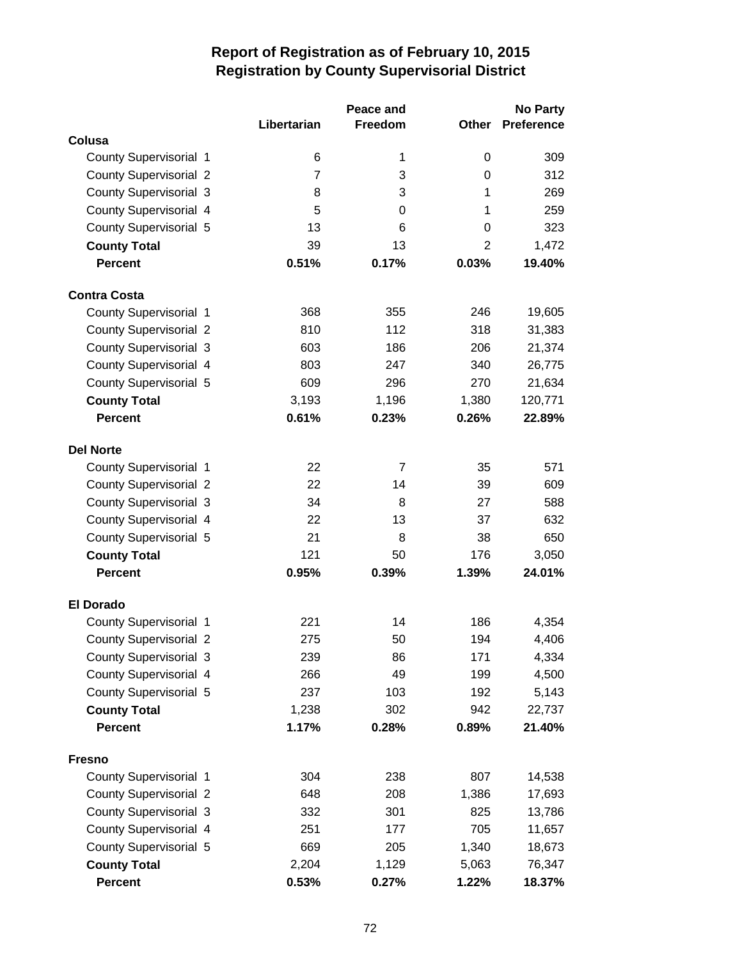|                               |                | Peace and      |                | <b>No Party</b> |
|-------------------------------|----------------|----------------|----------------|-----------------|
|                               | Libertarian    | Freedom        | Other          | Preference      |
| Colusa                        |                |                |                |                 |
| <b>County Supervisorial 1</b> | 6              | 1              | 0              | 309             |
| <b>County Supervisorial 2</b> | $\overline{7}$ | 3              | $\Omega$       | 312             |
| <b>County Supervisorial 3</b> | 8              | 3              | 1              | 269             |
| County Supervisorial 4        | 5              | 0              | 1              | 259             |
| County Supervisorial 5        | 13             | 6              | $\Omega$       | 323             |
| <b>County Total</b>           | 39             | 13             | $\overline{2}$ | 1,472           |
| <b>Percent</b>                | 0.51%          | 0.17%          | 0.03%          | 19.40%          |
| <b>Contra Costa</b>           |                |                |                |                 |
| County Supervisorial 1        | 368            | 355            | 246            | 19,605          |
| <b>County Supervisorial 2</b> | 810            | 112            | 318            | 31,383          |
| <b>County Supervisorial 3</b> | 603            | 186            | 206            | 21,374          |
| County Supervisorial 4        | 803            | 247            | 340            | 26,775          |
| <b>County Supervisorial 5</b> | 609            | 296            | 270            | 21,634          |
| <b>County Total</b>           | 3,193          | 1,196          | 1,380          | 120,771         |
| <b>Percent</b>                | 0.61%          | 0.23%          | 0.26%          | 22.89%          |
| <b>Del Norte</b>              |                |                |                |                 |
| County Supervisorial 1        | 22             | $\overline{7}$ | 35             | 571             |
| <b>County Supervisorial 2</b> | 22             | 14             | 39             | 609             |
| <b>County Supervisorial 3</b> | 34             | 8              | 27             | 588             |
| County Supervisorial 4        | 22             | 13             | 37             | 632             |
| <b>County Supervisorial 5</b> | 21             | 8              | 38             | 650             |
| <b>County Total</b>           | 121            | 50             | 176            | 3,050           |
| <b>Percent</b>                | 0.95%          | 0.39%          | 1.39%          | 24.01%          |
| <b>El Dorado</b>              |                |                |                |                 |
| <b>County Supervisorial 1</b> | 221            | 14             | 186            | 4,354           |
| <b>County Supervisorial 2</b> | 275            | 50             | 194            | 4,406           |
| <b>County Supervisorial 3</b> | 239            | 86             | 171            | 4,334           |
| County Supervisorial 4        | 266            | 49             | 199            | 4,500           |
| County Supervisorial 5        | 237            | 103            | 192            | 5,143           |
| <b>County Total</b>           | 1,238          | 302            | 942            | 22,737          |
| <b>Percent</b>                | 1.17%          | 0.28%          | 0.89%          | 21.40%          |
| <b>Fresno</b>                 |                |                |                |                 |
| County Supervisorial 1        | 304            | 238            | 807            | 14,538          |
| <b>County Supervisorial 2</b> | 648            | 208            | 1,386          | 17,693          |
| <b>County Supervisorial 3</b> | 332            | 301            | 825            | 13,786          |
| County Supervisorial 4        | 251            | 177            | 705            | 11,657          |
| County Supervisorial 5        | 669            | 205            | 1,340          | 18,673          |
| <b>County Total</b>           | 2,204          | 1,129          | 5,063          | 76,347          |
| <b>Percent</b>                | 0.53%          | 0.27%          | 1.22%          | 18.37%          |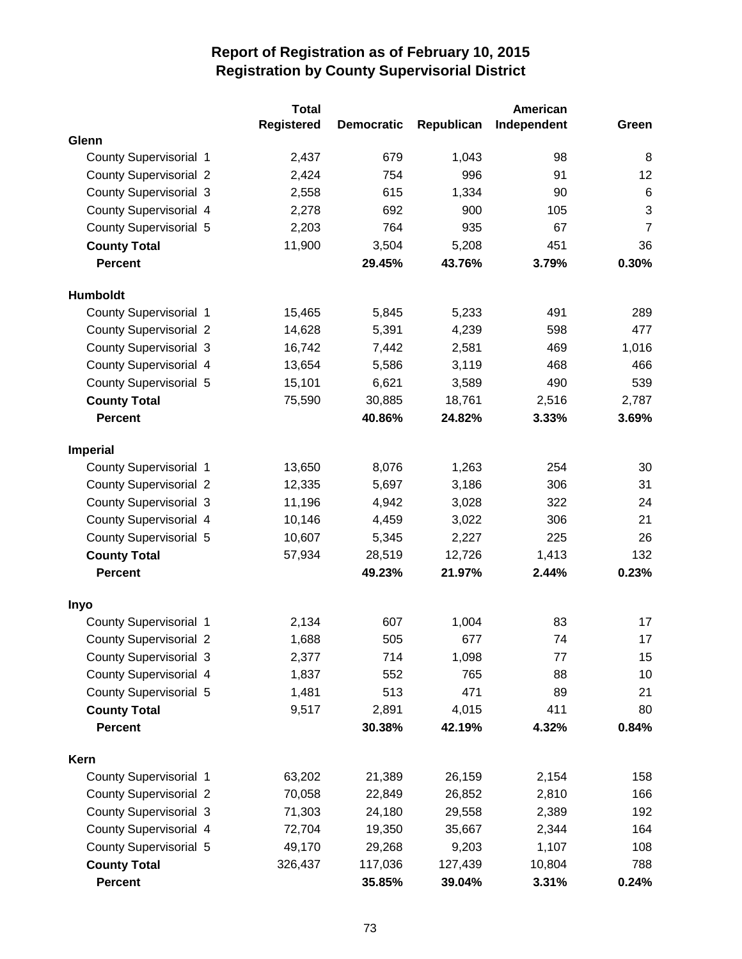|                               | <b>Total</b>      |                   |            | American    |                 |
|-------------------------------|-------------------|-------------------|------------|-------------|-----------------|
|                               | <b>Registered</b> | <b>Democratic</b> | Republican | Independent | Green           |
| Glenn                         |                   |                   |            |             |                 |
| County Supervisorial 1        | 2,437             | 679               | 1,043      | 98          | 8               |
| <b>County Supervisorial 2</b> | 2,424             | 754               | 996        | 91          | 12              |
| <b>County Supervisorial 3</b> | 2,558             | 615               | 1,334      | 90          | $6\phantom{1}6$ |
| County Supervisorial 4        | 2,278             | 692               | 900        | 105         | 3               |
| County Supervisorial 5        | 2,203             | 764               | 935        | 67          | $\overline{7}$  |
| <b>County Total</b>           | 11,900            | 3,504             | 5,208      | 451         | 36              |
| <b>Percent</b>                |                   | 29.45%            | 43.76%     | 3.79%       | 0.30%           |
| <b>Humboldt</b>               |                   |                   |            |             |                 |
| <b>County Supervisorial 1</b> | 15,465            | 5,845             | 5,233      | 491         | 289             |
| <b>County Supervisorial 2</b> | 14,628            | 5,391             | 4,239      | 598         | 477             |
| <b>County Supervisorial 3</b> | 16,742            | 7,442             | 2,581      | 469         | 1,016           |
| County Supervisorial 4        | 13,654            | 5,586             | 3,119      | 468         | 466             |
| <b>County Supervisorial 5</b> | 15,101            | 6,621             | 3,589      | 490         | 539             |
| <b>County Total</b>           | 75,590            | 30,885            | 18,761     | 2,516       | 2,787           |
| <b>Percent</b>                |                   | 40.86%            | 24.82%     | 3.33%       | 3.69%           |
| Imperial                      |                   |                   |            |             |                 |
| <b>County Supervisorial 1</b> | 13,650            | 8,076             | 1,263      | 254         | 30              |
| <b>County Supervisorial 2</b> | 12,335            | 5,697             | 3,186      | 306         | 31              |
| <b>County Supervisorial 3</b> | 11,196            | 4,942             | 3,028      | 322         | 24              |
| County Supervisorial 4        | 10,146            | 4,459             | 3,022      | 306         | 21              |
| <b>County Supervisorial 5</b> | 10,607            | 5,345             | 2,227      | 225         | 26              |
| <b>County Total</b>           | 57,934            | 28,519            | 12,726     | 1,413       | 132             |
| <b>Percent</b>                |                   | 49.23%            | 21.97%     | 2.44%       | 0.23%           |
| Inyo                          |                   |                   |            |             |                 |
| County Supervisorial 1        | 2,134             | 607               | 1,004      | 83          | 17              |
| <b>County Supervisorial 2</b> | 1,688             | 505               | 677        | 74          | 17              |
| <b>County Supervisorial 3</b> | 2,377             | 714               | 1,098      | 77          | 15              |
| County Supervisorial 4        | 1,837             | 552               | 765        | 88          | 10              |
| County Supervisorial 5        | 1,481             | 513               | 471        | 89          | 21              |
| <b>County Total</b>           | 9,517             | 2,891             | 4,015      | 411         | 80              |
| <b>Percent</b>                |                   | 30.38%            | 42.19%     | 4.32%       | 0.84%           |
| Kern                          |                   |                   |            |             |                 |
| County Supervisorial 1        | 63,202            | 21,389            | 26,159     | 2,154       | 158             |
| <b>County Supervisorial 2</b> | 70,058            | 22,849            | 26,852     | 2,810       | 166             |
| <b>County Supervisorial 3</b> | 71,303            | 24,180            | 29,558     | 2,389       | 192             |
| County Supervisorial 4        | 72,704            | 19,350            | 35,667     | 2,344       | 164             |
| County Supervisorial 5        | 49,170            | 29,268            | 9,203      | 1,107       | 108             |
| <b>County Total</b>           | 326,437           | 117,036           | 127,439    | 10,804      | 788             |
| <b>Percent</b>                |                   | 35.85%            | 39.04%     | 3.31%       | 0.24%           |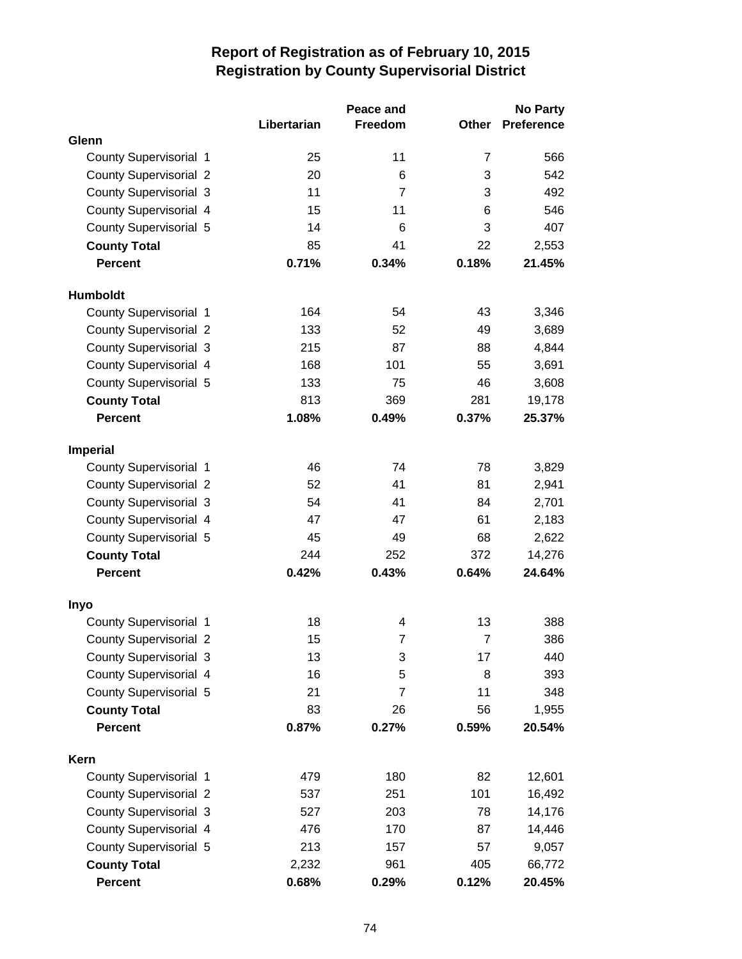|                               |             | Peace and      |                | <b>No Party</b>   |
|-------------------------------|-------------|----------------|----------------|-------------------|
|                               | Libertarian | Freedom        | Other          | <b>Preference</b> |
| Glenn                         |             |                |                |                   |
| County Supervisorial 1        | 25          | 11             | 7              | 566               |
| <b>County Supervisorial 2</b> | 20          | 6              | 3              | 542               |
| <b>County Supervisorial 3</b> | 11          | $\overline{7}$ | 3              | 492               |
| County Supervisorial 4        | 15          | 11             | 6              | 546               |
| County Supervisorial 5        | 14          | 6              | 3              | 407               |
| <b>County Total</b>           | 85          | 41             | 22             | 2,553             |
| <b>Percent</b>                | 0.71%       | 0.34%          | 0.18%          | 21.45%            |
| <b>Humboldt</b>               |             |                |                |                   |
| County Supervisorial 1        | 164         | 54             | 43             | 3,346             |
| <b>County Supervisorial 2</b> | 133         | 52             | 49             | 3,689             |
| <b>County Supervisorial 3</b> | 215         | 87             | 88             | 4,844             |
| County Supervisorial 4        | 168         | 101            | 55             | 3,691             |
| <b>County Supervisorial 5</b> | 133         | 75             | 46             | 3,608             |
| <b>County Total</b>           | 813         | 369            | 281            | 19,178            |
| <b>Percent</b>                | 1.08%       | 0.49%          | 0.37%          | 25.37%            |
| <b>Imperial</b>               |             |                |                |                   |
| County Supervisorial 1        | 46          | 74             | 78             | 3,829             |
| <b>County Supervisorial 2</b> | 52          | 41             | 81             | 2,941             |
| <b>County Supervisorial 3</b> | 54          | 41             | 84             | 2,701             |
| County Supervisorial 4        | 47          | 47             | 61             | 2,183             |
| <b>County Supervisorial 5</b> | 45          | 49             | 68             | 2,622             |
| <b>County Total</b>           | 244         | 252            | 372            | 14,276            |
| <b>Percent</b>                | 0.42%       | 0.43%          | 0.64%          | 24.64%            |
| Inyo                          |             |                |                |                   |
| <b>County Supervisorial 1</b> | 18          | 4              | 13             | 388               |
| <b>County Supervisorial 2</b> | 15          | $\overline{7}$ | $\overline{7}$ | 386               |
| County Supervisorial 3        | 13          | 3              | 17             | 440               |
| County Supervisorial 4        | 16          | 5              | 8              | 393               |
| County Supervisorial 5        | 21          | $\overline{7}$ | 11             | 348               |
| <b>County Total</b>           | 83          | 26             | 56             | 1,955             |
| <b>Percent</b>                | 0.87%       | 0.27%          | 0.59%          | 20.54%            |
| Kern                          |             |                |                |                   |
| County Supervisorial 1        | 479         | 180            | 82             | 12,601            |
| <b>County Supervisorial 2</b> | 537         | 251            | 101            | 16,492            |
| <b>County Supervisorial 3</b> | 527         | 203            | 78             | 14,176            |
| County Supervisorial 4        | 476         | 170            | 87             | 14,446            |
| County Supervisorial 5        | 213         | 157            | 57             | 9,057             |
| <b>County Total</b>           | 2,232       | 961            | 405            | 66,772            |
| <b>Percent</b>                | 0.68%       | 0.29%          | 0.12%          | 20.45%            |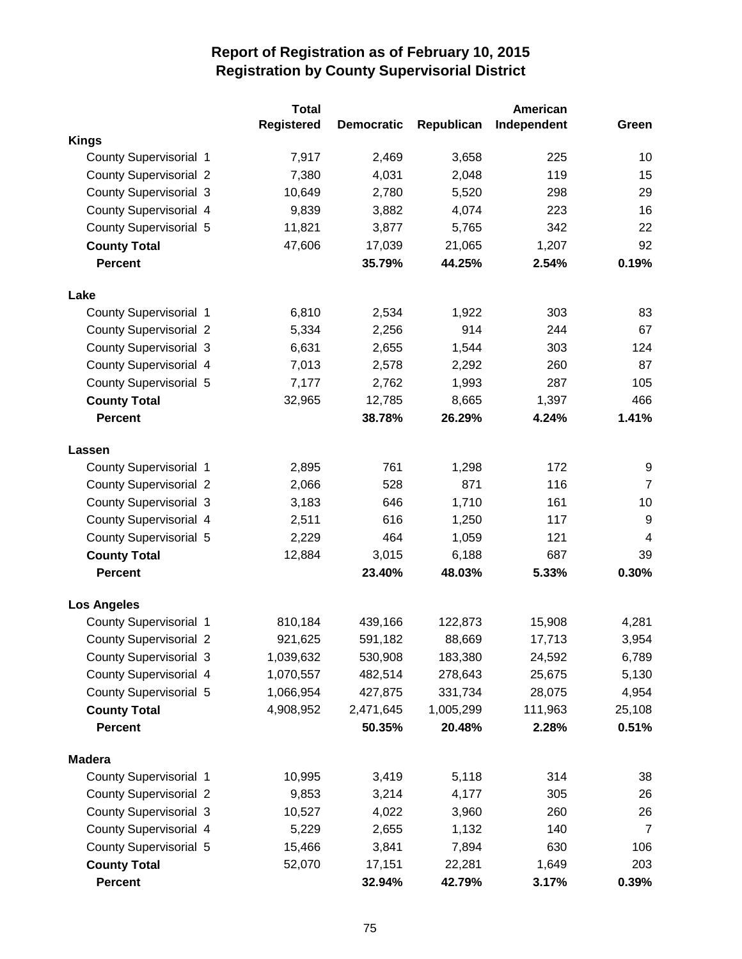|                               | <b>Total</b> |                   |            | American    |                |
|-------------------------------|--------------|-------------------|------------|-------------|----------------|
|                               | Registered   | <b>Democratic</b> | Republican | Independent | Green          |
| <b>Kings</b>                  |              |                   |            |             |                |
| County Supervisorial 1        | 7,917        | 2,469             | 3,658      | 225         | 10             |
| <b>County Supervisorial 2</b> | 7,380        | 4,031             | 2,048      | 119         | 15             |
| <b>County Supervisorial 3</b> | 10,649       | 2,780             | 5,520      | 298         | 29             |
| County Supervisorial 4        | 9,839        | 3,882             | 4,074      | 223         | 16             |
| <b>County Supervisorial 5</b> | 11,821       | 3,877             | 5,765      | 342         | 22             |
| <b>County Total</b>           | 47,606       | 17,039            | 21,065     | 1,207       | 92             |
| <b>Percent</b>                |              | 35.79%            | 44.25%     | 2.54%       | 0.19%          |
| Lake                          |              |                   |            |             |                |
| <b>County Supervisorial 1</b> | 6,810        | 2,534             | 1,922      | 303         | 83             |
| <b>County Supervisorial 2</b> | 5,334        | 2,256             | 914        | 244         | 67             |
| <b>County Supervisorial 3</b> | 6,631        | 2,655             | 1,544      | 303         | 124            |
| County Supervisorial 4        | 7,013        | 2,578             | 2,292      | 260         | 87             |
| <b>County Supervisorial 5</b> | 7,177        | 2,762             | 1,993      | 287         | 105            |
| <b>County Total</b>           | 32,965       | 12,785            | 8,665      | 1,397       | 466            |
| <b>Percent</b>                |              | 38.78%            | 26.29%     | 4.24%       | 1.41%          |
| Lassen                        |              |                   |            |             |                |
| <b>County Supervisorial 1</b> | 2,895        | 761               | 1,298      | 172         | 9              |
| <b>County Supervisorial 2</b> | 2,066        | 528               | 871        | 116         | $\overline{7}$ |
| <b>County Supervisorial 3</b> | 3,183        | 646               | 1,710      | 161         | 10             |
| <b>County Supervisorial 4</b> | 2,511        | 616               | 1,250      | 117         | 9              |
| <b>County Supervisorial 5</b> | 2,229        | 464               | 1,059      | 121         | 4              |
| <b>County Total</b>           | 12,884       | 3,015             | 6,188      | 687         | 39             |
| <b>Percent</b>                |              | 23.40%            | 48.03%     | 5.33%       | 0.30%          |
| <b>Los Angeles</b>            |              |                   |            |             |                |
| County Supervisorial 1        | 810,184      | 439,166           | 122,873    | 15,908      | 4,281          |
| <b>County Supervisorial 2</b> | 921,625      | 591,182           | 88,669     | 17,713      | 3,954          |
| <b>County Supervisorial 3</b> | 1,039,632    | 530,908           | 183,380    | 24,592      | 6,789          |
| County Supervisorial 4        | 1,070,557    | 482,514           | 278,643    | 25,675      | 5,130          |
| County Supervisorial 5        | 1,066,954    | 427,875           | 331,734    | 28,075      | 4,954          |
| <b>County Total</b>           | 4,908,952    | 2,471,645         | 1,005,299  | 111,963     | 25,108         |
| <b>Percent</b>                |              | 50.35%            | 20.48%     | 2.28%       | 0.51%          |
| <b>Madera</b>                 |              |                   |            |             |                |
| <b>County Supervisorial 1</b> | 10,995       | 3,419             | 5,118      | 314         | 38             |
| <b>County Supervisorial 2</b> | 9,853        | 3,214             | 4,177      | 305         | 26             |
| <b>County Supervisorial 3</b> | 10,527       | 4,022             | 3,960      | 260         | 26             |
| <b>County Supervisorial 4</b> | 5,229        | 2,655             | 1,132      | 140         | $\overline{7}$ |
| County Supervisorial 5        | 15,466       | 3,841             | 7,894      | 630         | 106            |
| <b>County Total</b>           | 52,070       | 17,151            | 22,281     | 1,649       | 203            |
| <b>Percent</b>                |              | 32.94%            | 42.79%     | 3.17%       | 0.39%          |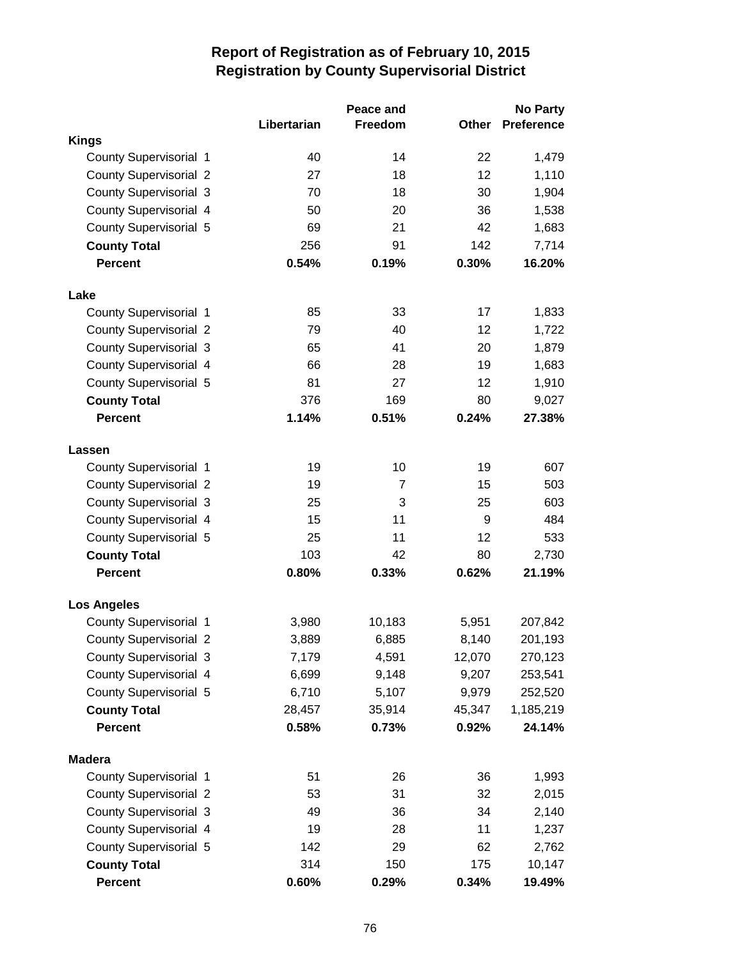|                               |             | Peace and      |        | <b>No Party</b>   |
|-------------------------------|-------------|----------------|--------|-------------------|
|                               | Libertarian | Freedom        | Other  | <b>Preference</b> |
| <b>Kings</b>                  |             |                |        |                   |
| <b>County Supervisorial 1</b> | 40          | 14             | 22     | 1,479             |
| <b>County Supervisorial 2</b> | 27          | 18             | 12     | 1,110             |
| <b>County Supervisorial 3</b> | 70          | 18             | 30     | 1,904             |
| County Supervisorial 4        | 50          | 20             | 36     | 1,538             |
| <b>County Supervisorial 5</b> | 69          | 21             | 42     | 1,683             |
| <b>County Total</b>           | 256         | 91             | 142    | 7,714             |
| <b>Percent</b>                | 0.54%       | 0.19%          | 0.30%  | 16.20%            |
| Lake                          |             |                |        |                   |
| <b>County Supervisorial 1</b> | 85          | 33             | 17     | 1,833             |
| <b>County Supervisorial 2</b> | 79          | 40             | 12     | 1,722             |
| <b>County Supervisorial 3</b> | 65          | 41             | 20     | 1,879             |
| County Supervisorial 4        | 66          | 28             | 19     | 1,683             |
| County Supervisorial 5        | 81          | 27             | 12     | 1,910             |
| <b>County Total</b>           | 376         | 169            | 80     | 9,027             |
| <b>Percent</b>                | 1.14%       | 0.51%          | 0.24%  | 27.38%            |
| Lassen                        |             |                |        |                   |
| County Supervisorial 1        | 19          | 10             | 19     | 607               |
| <b>County Supervisorial 2</b> | 19          | $\overline{7}$ | 15     | 503               |
| <b>County Supervisorial 3</b> | 25          | 3              | 25     | 603               |
| County Supervisorial 4        | 15          | 11             | 9      | 484               |
| <b>County Supervisorial 5</b> | 25          | 11             | 12     | 533               |
| <b>County Total</b>           | 103         | 42             | 80     | 2,730             |
| <b>Percent</b>                | 0.80%       | 0.33%          | 0.62%  | 21.19%            |
| <b>Los Angeles</b>            |             |                |        |                   |
| County Supervisorial 1        | 3,980       | 10,183         | 5,951  | 207,842           |
| <b>County Supervisorial 2</b> | 3,889       | 6,885          | 8,140  | 201,193           |
| <b>County Supervisorial 3</b> | 7,179       | 4,591          | 12,070 | 270,123           |
| County Supervisorial 4        | 6,699       | 9,148          | 9,207  | 253,541           |
| County Supervisorial 5        | 6,710       | 5,107          | 9,979  | 252,520           |
| <b>County Total</b>           | 28,457      | 35,914         | 45,347 | 1,185,219         |
| <b>Percent</b>                | 0.58%       | 0.73%          | 0.92%  | 24.14%            |
| <b>Madera</b>                 |             |                |        |                   |
| <b>County Supervisorial 1</b> | 51          | 26             | 36     | 1,993             |
| <b>County Supervisorial 2</b> | 53          | 31             | 32     | 2,015             |
| <b>County Supervisorial 3</b> | 49          | 36             | 34     | 2,140             |
| County Supervisorial 4        | 19          | 28             | 11     | 1,237             |
| County Supervisorial 5        | 142         | 29             | 62     | 2,762             |
| <b>County Total</b>           | 314         | 150            | 175    | 10,147            |
| <b>Percent</b>                | 0.60%       | 0.29%          | 0.34%  | 19.49%            |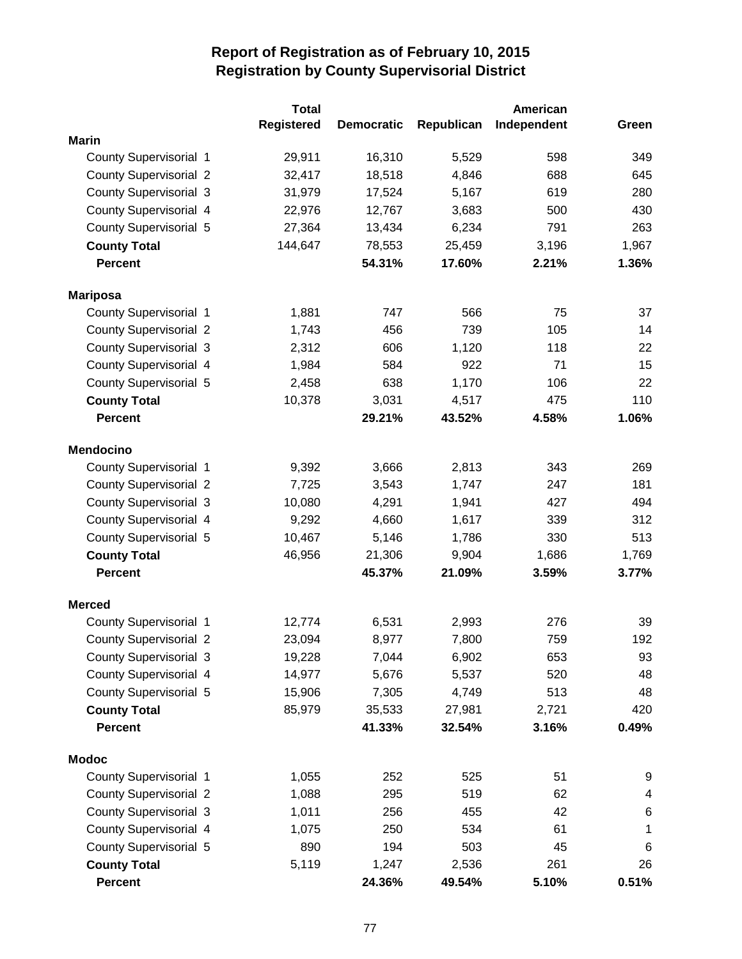|                               | <b>Total</b>      |                   |            | American    |                          |
|-------------------------------|-------------------|-------------------|------------|-------------|--------------------------|
|                               | <b>Registered</b> | <b>Democratic</b> | Republican | Independent | Green                    |
| <b>Marin</b>                  |                   |                   |            |             |                          |
| County Supervisorial 1        | 29,911            | 16,310            | 5,529      | 598         | 349                      |
| <b>County Supervisorial 2</b> | 32,417            | 18,518            | 4,846      | 688         | 645                      |
| <b>County Supervisorial 3</b> | 31,979            | 17,524            | 5,167      | 619         | 280                      |
| County Supervisorial 4        | 22,976            | 12,767            | 3,683      | 500         | 430                      |
| <b>County Supervisorial 5</b> | 27,364            | 13,434            | 6,234      | 791         | 263                      |
| <b>County Total</b>           | 144,647           | 78,553            | 25,459     | 3,196       | 1,967                    |
| <b>Percent</b>                |                   | 54.31%            | 17.60%     | 2.21%       | 1.36%                    |
| <b>Mariposa</b>               |                   |                   |            |             |                          |
| <b>County Supervisorial 1</b> | 1,881             | 747               | 566        | 75          | 37                       |
| <b>County Supervisorial 2</b> | 1,743             | 456               | 739        | 105         | 14                       |
| <b>County Supervisorial 3</b> | 2,312             | 606               | 1,120      | 118         | 22                       |
| <b>County Supervisorial 4</b> | 1,984             | 584               | 922        | 71          | 15                       |
| <b>County Supervisorial 5</b> | 2,458             | 638               | 1,170      | 106         | 22                       |
| <b>County Total</b>           | 10,378            | 3,031             | 4,517      | 475         | 110                      |
| <b>Percent</b>                |                   | 29.21%            | 43.52%     | 4.58%       | 1.06%                    |
| <b>Mendocino</b>              |                   |                   |            |             |                          |
| <b>County Supervisorial 1</b> | 9,392             | 3,666             | 2,813      | 343         | 269                      |
| <b>County Supervisorial 2</b> | 7,725             | 3,543             | 1,747      | 247         | 181                      |
| <b>County Supervisorial 3</b> | 10,080            | 4,291             | 1,941      | 427         | 494                      |
| <b>County Supervisorial 4</b> | 9,292             | 4,660             | 1,617      | 339         | 312                      |
| <b>County Supervisorial 5</b> | 10,467            | 5,146             | 1,786      | 330         | 513                      |
| <b>County Total</b>           | 46,956            | 21,306            | 9,904      | 1,686       | 1,769                    |
| <b>Percent</b>                |                   | 45.37%            | 21.09%     | 3.59%       | 3.77%                    |
| <b>Merced</b>                 |                   |                   |            |             |                          |
| <b>County Supervisorial 1</b> | 12,774            | 6,531             | 2,993      | 276         | 39                       |
| <b>County Supervisorial 2</b> | 23,094            | 8,977             | 7,800      | 759         | 192                      |
| <b>County Supervisorial 3</b> | 19,228            | 7,044             | 6,902      | 653         | 93                       |
| County Supervisorial 4        | 14,977            | 5,676             | 5,537      | 520         | 48                       |
| County Supervisorial 5        | 15,906            | 7,305             | 4,749      | 513         | 48                       |
| <b>County Total</b>           | 85,979            | 35,533            | 27,981     | 2,721       | 420                      |
| <b>Percent</b>                |                   | 41.33%            | 32.54%     | 3.16%       | 0.49%                    |
| <b>Modoc</b>                  |                   |                   |            |             |                          |
| <b>County Supervisorial 1</b> | 1,055             | 252               | 525        | 51          | 9                        |
| <b>County Supervisorial 2</b> | 1,088             | 295               | 519        | 62          | $\overline{\mathcal{A}}$ |
| <b>County Supervisorial 3</b> | 1,011             | 256               | 455        | 42          | 6                        |
| County Supervisorial 4        | 1,075             | 250               | 534        | 61          | 1                        |
| County Supervisorial 5        | 890               | 194               | 503        | 45          | 6                        |
| <b>County Total</b>           | 5,119             | 1,247             | 2,536      | 261         | 26                       |
| Percent                       |                   | 24.36%            | 49.54%     | 5.10%       | 0.51%                    |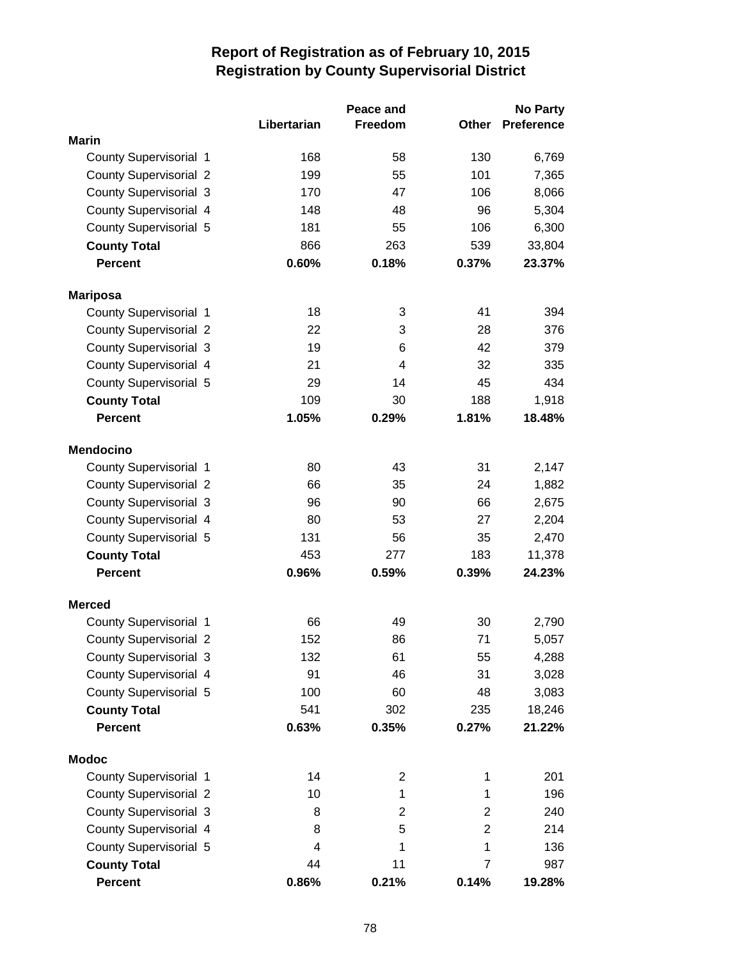|                               |             | Peace and      |                | <b>No Party</b>   |
|-------------------------------|-------------|----------------|----------------|-------------------|
|                               | Libertarian | Freedom        | Other          | <b>Preference</b> |
| <b>Marin</b>                  |             |                |                |                   |
| <b>County Supervisorial 1</b> | 168         | 58             | 130            | 6,769             |
| <b>County Supervisorial 2</b> | 199         | 55             | 101            | 7,365             |
| <b>County Supervisorial 3</b> | 170         | 47             | 106            | 8,066             |
| <b>County Supervisorial 4</b> | 148         | 48             | 96             | 5,304             |
| <b>County Supervisorial 5</b> | 181         | 55             | 106            | 6,300             |
| <b>County Total</b>           | 866         | 263            | 539            | 33,804            |
| <b>Percent</b>                | 0.60%       | 0.18%          | 0.37%          | 23.37%            |
| <b>Mariposa</b>               |             |                |                |                   |
| County Supervisorial 1        | 18          | 3              | 41             | 394               |
| <b>County Supervisorial 2</b> | 22          | 3              | 28             | 376               |
| <b>County Supervisorial 3</b> | 19          | 6              | 42             | 379               |
| County Supervisorial 4        | 21          | 4              | 32             | 335               |
| County Supervisorial 5        | 29          | 14             | 45             | 434               |
| <b>County Total</b>           | 109         | 30             | 188            | 1,918             |
| <b>Percent</b>                | 1.05%       | 0.29%          | 1.81%          | 18.48%            |
| <b>Mendocino</b>              |             |                |                |                   |
| County Supervisorial 1        | 80          | 43             | 31             | 2,147             |
| <b>County Supervisorial 2</b> | 66          | 35             | 24             | 1,882             |
| <b>County Supervisorial 3</b> | 96          | 90             | 66             | 2,675             |
| <b>County Supervisorial 4</b> | 80          | 53             | 27             | 2,204             |
| <b>County Supervisorial 5</b> | 131         | 56             | 35             | 2,470             |
| <b>County Total</b>           | 453         | 277            | 183            | 11,378            |
| <b>Percent</b>                | 0.96%       | 0.59%          | 0.39%          | 24.23%            |
| <b>Merced</b>                 |             |                |                |                   |
| <b>County Supervisorial 1</b> | 66          | 49             | 30             | 2,790             |
| <b>County Supervisorial 2</b> | 152         | 86             | 71             | 5,057             |
| <b>County Supervisorial 3</b> | 132         | 61             | 55             | 4,288             |
| County Supervisorial 4        | 91          | 46             | 31             | 3,028             |
| County Supervisorial 5        | 100         | 60             | 48             | 3,083             |
| <b>County Total</b>           | 541         | 302            | 235            | 18,246            |
| <b>Percent</b>                | 0.63%       | 0.35%          | 0.27%          | 21.22%            |
| <b>Modoc</b>                  |             |                |                |                   |
| <b>County Supervisorial 1</b> | 14          | $\overline{c}$ | 1              | 201               |
| <b>County Supervisorial 2</b> | 10          | 1              | 1              | 196               |
| <b>County Supervisorial 3</b> | 8           | $\overline{2}$ | $\overline{2}$ | 240               |
| County Supervisorial 4        | 8           | 5              | $\overline{2}$ | 214               |
| <b>County Supervisorial 5</b> | 4           | 1              | 1              | 136               |
| <b>County Total</b>           | 44          | 11             | $\overline{7}$ | 987               |
| <b>Percent</b>                | 0.86%       | 0.21%          | 0.14%          | 19.28%            |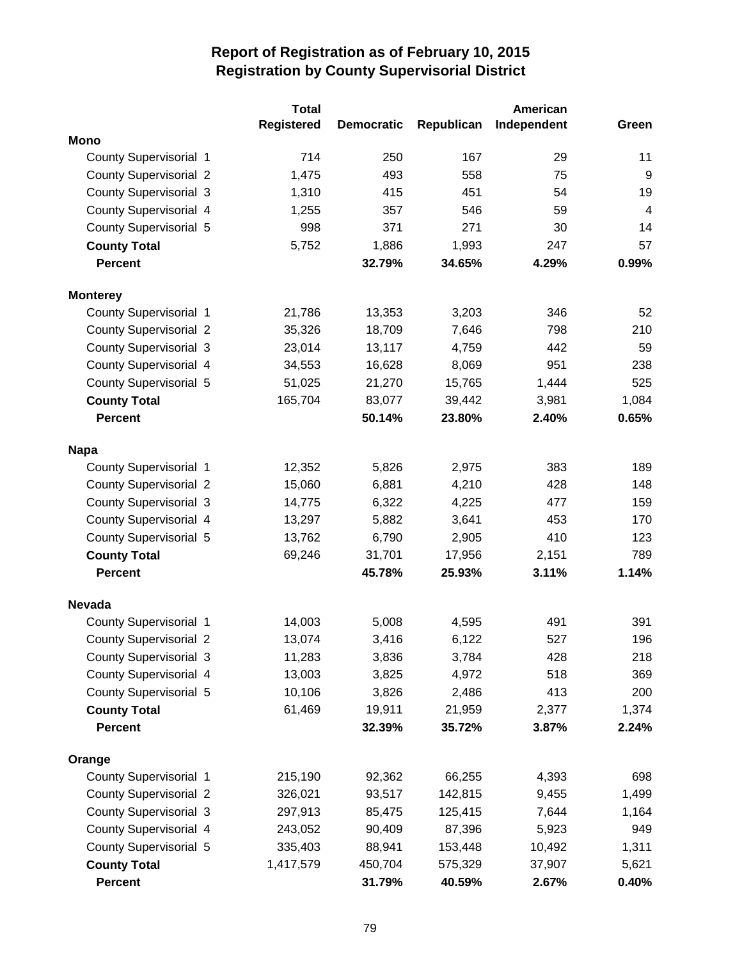|                               | <b>Total</b>      |                   |            | American    |       |
|-------------------------------|-------------------|-------------------|------------|-------------|-------|
|                               | <b>Registered</b> | <b>Democratic</b> | Republican | Independent | Green |
| <b>Mono</b>                   |                   |                   |            |             |       |
| County Supervisorial 1        | 714               | 250               | 167        | 29          | 11    |
| <b>County Supervisorial 2</b> | 1,475             | 493               | 558        | 75          | $9\,$ |
| <b>County Supervisorial 3</b> | 1,310             | 415               | 451        | 54          | 19    |
| County Supervisorial 4        | 1,255             | 357               | 546        | 59          | 4     |
| County Supervisorial 5        | 998               | 371               | 271        | 30          | 14    |
| <b>County Total</b>           | 5,752             | 1,886             | 1,993      | 247         | 57    |
| Percent                       |                   | 32.79%            | 34.65%     | 4.29%       | 0.99% |
| <b>Monterey</b>               |                   |                   |            |             |       |
| County Supervisorial 1        | 21,786            | 13,353            | 3,203      | 346         | 52    |
| <b>County Supervisorial 2</b> | 35,326            | 18,709            | 7,646      | 798         | 210   |
| <b>County Supervisorial 3</b> | 23,014            | 13,117            | 4,759      | 442         | 59    |
| County Supervisorial 4        | 34,553            | 16,628            | 8,069      | 951         | 238   |
| County Supervisorial 5        | 51,025            | 21,270            | 15,765     | 1,444       | 525   |
| <b>County Total</b>           | 165,704           | 83,077            | 39,442     | 3,981       | 1,084 |
| <b>Percent</b>                |                   | 50.14%            | 23.80%     | 2.40%       | 0.65% |
| <b>Napa</b>                   |                   |                   |            |             |       |
| County Supervisorial 1        | 12,352            | 5,826             | 2,975      | 383         | 189   |
| <b>County Supervisorial 2</b> | 15,060            | 6,881             | 4,210      | 428         | 148   |
| <b>County Supervisorial 3</b> | 14,775            | 6,322             | 4,225      | 477         | 159   |
| <b>County Supervisorial 4</b> | 13,297            | 5,882             | 3,641      | 453         | 170   |
| <b>County Supervisorial 5</b> | 13,762            | 6,790             | 2,905      | 410         | 123   |
| <b>County Total</b>           | 69,246            | 31,701            | 17,956     | 2,151       | 789   |
| <b>Percent</b>                |                   | 45.78%            | 25.93%     | 3.11%       | 1.14% |
| <b>Nevada</b>                 |                   |                   |            |             |       |
| County Supervisorial 1        | 14,003            | 5,008             | 4,595      | 491         | 391   |
| <b>County Supervisorial 2</b> | 13,074            | 3,416             | 6,122      | 527         | 196   |
| <b>County Supervisorial 3</b> | 11,283            | 3,836             | 3,784      | 428         | 218   |
| County Supervisorial 4        | 13,003            | 3,825             | 4,972      | 518         | 369   |
| County Supervisorial 5        | 10,106            | 3,826             | 2,486      | 413         | 200   |
| <b>County Total</b>           | 61,469            | 19,911            | 21,959     | 2,377       | 1,374 |
| <b>Percent</b>                |                   | 32.39%            | 35.72%     | 3.87%       | 2.24% |
| Orange                        |                   |                   |            |             |       |
| County Supervisorial 1        | 215,190           | 92,362            | 66,255     | 4,393       | 698   |
| <b>County Supervisorial 2</b> | 326,021           | 93,517            | 142,815    | 9,455       | 1,499 |
| <b>County Supervisorial 3</b> | 297,913           | 85,475            | 125,415    | 7,644       | 1,164 |
| County Supervisorial 4        | 243,052           | 90,409            | 87,396     | 5,923       | 949   |
| County Supervisorial 5        | 335,403           | 88,941            | 153,448    | 10,492      | 1,311 |
| <b>County Total</b>           | 1,417,579         | 450,704           | 575,329    | 37,907      | 5,621 |
| <b>Percent</b>                |                   | 31.79%            | 40.59%     | 2.67%       | 0.40% |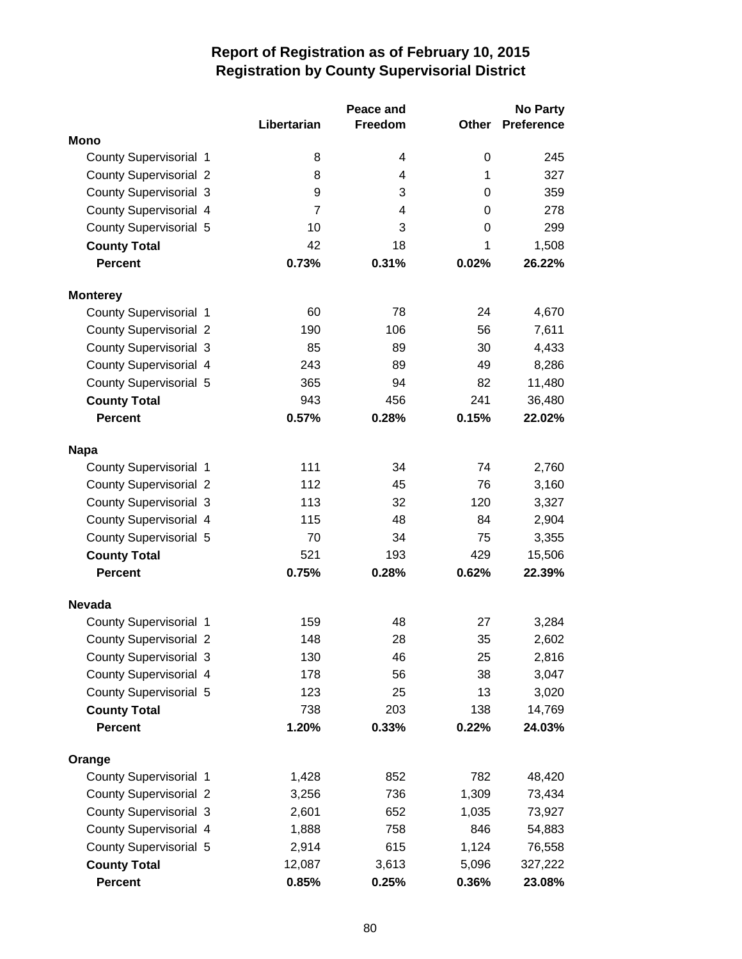|                               |                | Peace and |             | <b>No Party</b>   |
|-------------------------------|----------------|-----------|-------------|-------------------|
|                               | Libertarian    | Freedom   | Other       | <b>Preference</b> |
| <b>Mono</b>                   |                |           |             |                   |
| County Supervisorial 1        | 8              | 4         | 0           | 245               |
| <b>County Supervisorial 2</b> | 8              | 4         | 1           | 327               |
| <b>County Supervisorial 3</b> | 9              | 3         | 0           | 359               |
| County Supervisorial 4        | $\overline{7}$ | 4         | 0           | 278               |
| County Supervisorial 5        | 10             | 3         | $\mathbf 0$ | 299               |
| <b>County Total</b>           | 42             | 18        | 1           | 1,508             |
| <b>Percent</b>                | 0.73%          | 0.31%     | 0.02%       | 26.22%            |
| <b>Monterey</b>               |                |           |             |                   |
| County Supervisorial 1        | 60             | 78        | 24          | 4,670             |
| <b>County Supervisorial 2</b> | 190            | 106       | 56          | 7,611             |
| <b>County Supervisorial 3</b> | 85             | 89        | 30          | 4,433             |
| County Supervisorial 4        | 243            | 89        | 49          | 8,286             |
| <b>County Supervisorial 5</b> | 365            | 94        | 82          | 11,480            |
| <b>County Total</b>           | 943            | 456       | 241         | 36,480            |
| <b>Percent</b>                | 0.57%          | 0.28%     | 0.15%       | 22.02%            |
| <b>Napa</b>                   |                |           |             |                   |
| County Supervisorial 1        | 111            | 34        | 74          | 2,760             |
| <b>County Supervisorial 2</b> | 112            | 45        | 76          | 3,160             |
| <b>County Supervisorial 3</b> | 113            | 32        | 120         | 3,327             |
| County Supervisorial 4        | 115            | 48        | 84          | 2,904             |
| <b>County Supervisorial 5</b> | 70             | 34        | 75          | 3,355             |
| <b>County Total</b>           | 521            | 193       | 429         | 15,506            |
| <b>Percent</b>                | 0.75%          | 0.28%     | 0.62%       | 22.39%            |
| <b>Nevada</b>                 |                |           |             |                   |
| County Supervisorial 1        | 159            | 48        | 27          | 3,284             |
| <b>County Supervisorial 2</b> | 148            | 28        | 35          | 2,602             |
| County Supervisorial 3        | 130            | 46        | 25          | 2,816             |
| County Supervisorial 4        | 178            | 56        | 38          | 3,047             |
| County Supervisorial 5        | 123            | 25        | 13          | 3,020             |
| <b>County Total</b>           | 738            | 203       | 138         | 14,769            |
| <b>Percent</b>                | 1.20%          | 0.33%     | 0.22%       | 24.03%            |
| Orange                        |                |           |             |                   |
| <b>County Supervisorial 1</b> | 1,428          | 852       | 782         | 48,420            |
| <b>County Supervisorial 2</b> | 3,256          | 736       | 1,309       | 73,434            |
| <b>County Supervisorial 3</b> | 2,601          | 652       | 1,035       | 73,927            |
| County Supervisorial 4        | 1,888          | 758       | 846         | 54,883            |
| County Supervisorial 5        | 2,914          | 615       | 1,124       | 76,558            |
| <b>County Total</b>           | 12,087         | 3,613     | 5,096       | 327,222           |
| <b>Percent</b>                | 0.85%          | 0.25%     | 0.36%       | 23.08%            |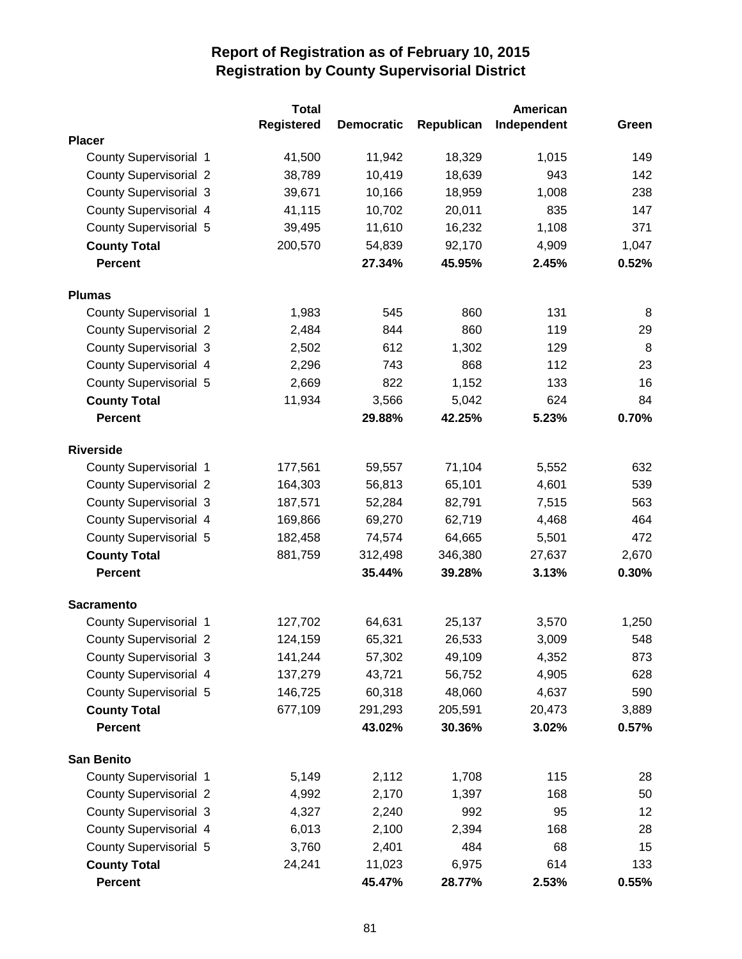|                               | <b>Total</b>      |                   |            | American    |       |
|-------------------------------|-------------------|-------------------|------------|-------------|-------|
|                               | <b>Registered</b> | <b>Democratic</b> | Republican | Independent | Green |
| <b>Placer</b>                 |                   |                   |            |             |       |
| County Supervisorial 1        | 41,500            | 11,942            | 18,329     | 1,015       | 149   |
| <b>County Supervisorial 2</b> | 38,789            | 10,419            | 18,639     | 943         | 142   |
| <b>County Supervisorial 3</b> | 39,671            | 10,166            | 18,959     | 1,008       | 238   |
| County Supervisorial 4        | 41,115            | 10,702            | 20,011     | 835         | 147   |
| <b>County Supervisorial 5</b> | 39,495            | 11,610            | 16,232     | 1,108       | 371   |
| <b>County Total</b>           | 200,570           | 54,839            | 92,170     | 4,909       | 1,047 |
| <b>Percent</b>                |                   | 27.34%            | 45.95%     | 2.45%       | 0.52% |
| <b>Plumas</b>                 |                   |                   |            |             |       |
| <b>County Supervisorial 1</b> | 1,983             | 545               | 860        | 131         | 8     |
| <b>County Supervisorial 2</b> | 2,484             | 844               | 860        | 119         | 29    |
| <b>County Supervisorial 3</b> | 2,502             | 612               | 1,302      | 129         | 8     |
| <b>County Supervisorial 4</b> | 2,296             | 743               | 868        | 112         | 23    |
| <b>County Supervisorial 5</b> | 2,669             | 822               | 1,152      | 133         | 16    |
| <b>County Total</b>           | 11,934            | 3,566             | 5,042      | 624         | 84    |
| <b>Percent</b>                |                   | 29.88%            | 42.25%     | 5.23%       | 0.70% |
| <b>Riverside</b>              |                   |                   |            |             |       |
| <b>County Supervisorial 1</b> | 177,561           | 59,557            | 71,104     | 5,552       | 632   |
| <b>County Supervisorial 2</b> | 164,303           | 56,813            | 65,101     | 4,601       | 539   |
| <b>County Supervisorial 3</b> | 187,571           | 52,284            | 82,791     | 7,515       | 563   |
| <b>County Supervisorial 4</b> | 169,866           | 69,270            | 62,719     | 4,468       | 464   |
| <b>County Supervisorial 5</b> | 182,458           | 74,574            | 64,665     | 5,501       | 472   |
| <b>County Total</b>           | 881,759           | 312,498           | 346,380    | 27,637      | 2,670 |
| <b>Percent</b>                |                   | 35.44%            | 39.28%     | 3.13%       | 0.30% |
| <b>Sacramento</b>             |                   |                   |            |             |       |
| County Supervisorial 1        | 127,702           | 64,631            | 25,137     | 3,570       | 1,250 |
| <b>County Supervisorial 2</b> | 124,159           | 65,321            | 26,533     | 3,009       | 548   |
| <b>County Supervisorial 3</b> | 141,244           | 57,302            | 49,109     | 4,352       | 873   |
| County Supervisorial 4        | 137,279           | 43,721            | 56,752     | 4,905       | 628   |
| County Supervisorial 5        | 146,725           | 60,318            | 48,060     | 4,637       | 590   |
| <b>County Total</b>           | 677,109           | 291,293           | 205,591    | 20,473      | 3,889 |
| <b>Percent</b>                |                   | 43.02%            | 30.36%     | 3.02%       | 0.57% |
| <b>San Benito</b>             |                   |                   |            |             |       |
| <b>County Supervisorial 1</b> | 5,149             | 2,112             | 1,708      | 115         | 28    |
| <b>County Supervisorial 2</b> | 4,992             | 2,170             | 1,397      | 168         | 50    |
| <b>County Supervisorial 3</b> | 4,327             | 2,240             | 992        | 95          | 12    |
| County Supervisorial 4        | 6,013             | 2,100             | 2,394      | 168         | 28    |
| County Supervisorial 5        | 3,760             | 2,401             | 484        | 68          | 15    |
| <b>County Total</b>           | 24,241            | 11,023            | 6,975      | 614         | 133   |
| <b>Percent</b>                |                   | 45.47%            | 28.77%     | 2.53%       | 0.55% |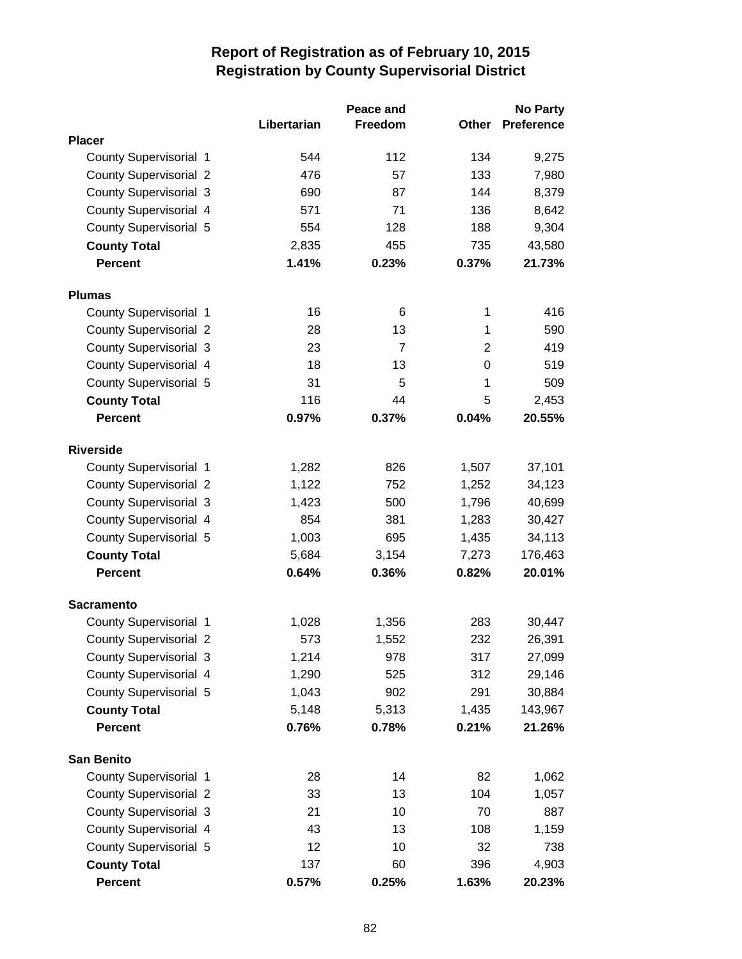|                               |             | Peace and      |       | <b>No Party</b>   |
|-------------------------------|-------------|----------------|-------|-------------------|
|                               | Libertarian | Freedom        | Other | <b>Preference</b> |
| <b>Placer</b>                 |             |                |       |                   |
| County Supervisorial 1        | 544         | 112            | 134   | 9,275             |
| <b>County Supervisorial 2</b> | 476         | 57             | 133   | 7,980             |
| <b>County Supervisorial 3</b> | 690         | 87             | 144   | 8,379             |
| County Supervisorial 4        | 571         | 71             | 136   | 8,642             |
| <b>County Supervisorial 5</b> | 554         | 128            | 188   | 9,304             |
| <b>County Total</b>           | 2,835       | 455            | 735   | 43,580            |
| <b>Percent</b>                | 1.41%       | 0.23%          | 0.37% | 21.73%            |
| <b>Plumas</b>                 |             |                |       |                   |
| <b>County Supervisorial 1</b> | 16          | 6              | 1     | 416               |
| <b>County Supervisorial 2</b> | 28          | 13             | 1     | 590               |
| <b>County Supervisorial 3</b> | 23          | $\overline{7}$ | 2     | 419               |
| County Supervisorial 4        | 18          | 13             | 0     | 519               |
| County Supervisorial 5        | 31          | 5              | 1     | 509               |
| <b>County Total</b>           | 116         | 44             | 5     | 2,453             |
| <b>Percent</b>                | 0.97%       | 0.37%          | 0.04% | 20.55%            |
| <b>Riverside</b>              |             |                |       |                   |
| County Supervisorial 1        | 1,282       | 826            | 1,507 | 37,101            |
| <b>County Supervisorial 2</b> | 1,122       | 752            | 1,252 | 34,123            |
| <b>County Supervisorial 3</b> | 1,423       | 500            | 1,796 | 40,699            |
| County Supervisorial 4        | 854         | 381            | 1,283 | 30,427            |
| <b>County Supervisorial 5</b> | 1,003       | 695            | 1,435 | 34,113            |
| <b>County Total</b>           | 5,684       | 3,154          | 7,273 | 176,463           |
| <b>Percent</b>                | 0.64%       | 0.36%          | 0.82% | 20.01%            |
| <b>Sacramento</b>             |             |                |       |                   |
| <b>County Supervisorial 1</b> | 1,028       | 1,356          | 283   | 30,447            |
| <b>County Supervisorial 2</b> | 573         | 1,552          | 232   | 26,391            |
| County Supervisorial 3        | 1,214       | 978            | 317   | 27,099            |
| County Supervisorial 4        | 1,290       | 525            | 312   | 29,146            |
| County Supervisorial 5        | 1,043       | 902            | 291   | 30,884            |
| <b>County Total</b>           | 5,148       | 5,313          | 1,435 | 143,967           |
| <b>Percent</b>                | 0.76%       | 0.78%          | 0.21% | 21.26%            |
| <b>San Benito</b>             |             |                |       |                   |
| County Supervisorial 1        | 28          | 14             | 82    | 1,062             |
| <b>County Supervisorial 2</b> | 33          | 13             | 104   | 1,057             |
| <b>County Supervisorial 3</b> | 21          | 10             | 70    | 887               |
| County Supervisorial 4        | 43          | 13             | 108   | 1,159             |
| <b>County Supervisorial 5</b> | 12          | 10             | 32    | 738               |
| <b>County Total</b>           | 137         | 60             | 396   | 4,903             |
| <b>Percent</b>                | 0.57%       | 0.25%          | 1.63% | 20.23%            |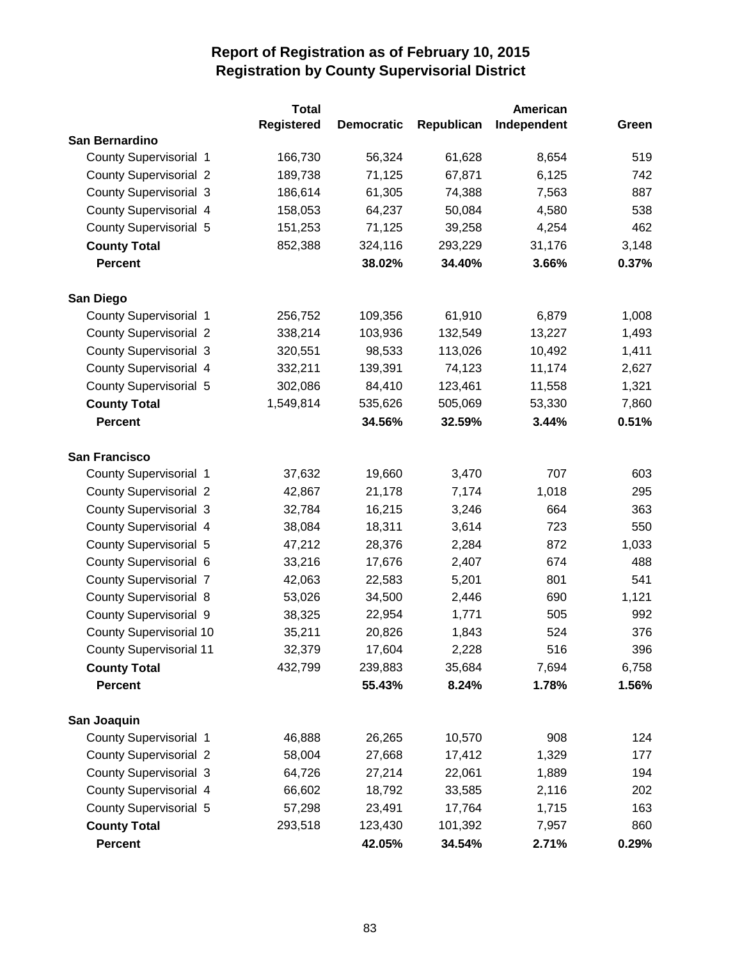|                                | <b>Total</b>      |                   | American   |             |       |
|--------------------------------|-------------------|-------------------|------------|-------------|-------|
|                                | <b>Registered</b> | <b>Democratic</b> | Republican | Independent | Green |
| San Bernardino                 |                   |                   |            |             |       |
| <b>County Supervisorial 1</b>  | 166,730           | 56,324            | 61,628     | 8,654       | 519   |
| <b>County Supervisorial 2</b>  | 189,738           | 71,125            | 67,871     | 6,125       | 742   |
| <b>County Supervisorial 3</b>  | 186,614           | 61,305            | 74,388     | 7,563       | 887   |
| County Supervisorial 4         | 158,053           | 64,237            | 50,084     | 4,580       | 538   |
| <b>County Supervisorial 5</b>  | 151,253           | 71,125            | 39,258     | 4,254       | 462   |
| <b>County Total</b>            | 852,388           | 324,116           | 293,229    | 31,176      | 3,148 |
| <b>Percent</b>                 |                   | 38.02%            | 34.40%     | 3.66%       | 0.37% |
|                                |                   |                   |            |             |       |
| San Diego                      |                   |                   |            |             |       |
| <b>County Supervisorial 1</b>  | 256,752           | 109,356           | 61,910     | 6,879       | 1,008 |
| <b>County Supervisorial 2</b>  | 338,214           | 103,936           | 132,549    | 13,227      | 1,493 |
| <b>County Supervisorial 3</b>  | 320,551           | 98,533            | 113,026    | 10,492      | 1,411 |
| County Supervisorial 4         | 332,211           | 139,391           | 74,123     | 11,174      | 2,627 |
| County Supervisorial 5         | 302,086           | 84,410            | 123,461    | 11,558      | 1,321 |
| <b>County Total</b>            | 1,549,814         | 535,626           | 505,069    | 53,330      | 7,860 |
| <b>Percent</b>                 |                   | 34.56%            | 32.59%     | 3.44%       | 0.51% |
|                                |                   |                   |            |             |       |
| <b>San Francisco</b>           |                   |                   |            |             |       |
| County Supervisorial 1         | 37,632            | 19,660            | 3,470      | 707         | 603   |
| <b>County Supervisorial 2</b>  | 42,867            | 21,178            | 7,174      | 1,018       | 295   |
| <b>County Supervisorial 3</b>  | 32,784            | 16,215            | 3,246      | 664         | 363   |
| County Supervisorial 4         | 38,084            | 18,311            | 3,614      | 723         | 550   |
| County Supervisorial 5         | 47,212            | 28,376            | 2,284      | 872         | 1,033 |
| County Supervisorial 6         | 33,216            | 17,676            | 2,407      | 674         | 488   |
| <b>County Supervisorial 7</b>  | 42,063            | 22,583            | 5,201      | 801         | 541   |
| <b>County Supervisorial 8</b>  | 53,026            | 34,500            | 2,446      | 690         | 1,121 |
| County Supervisorial 9         | 38,325            | 22,954            | 1,771      | 505         | 992   |
| <b>County Supervisorial 10</b> | 35,211            | 20,826            | 1,843      | 524         | 376   |
| <b>County Supervisorial 11</b> | 32,379            | 17,604            | 2,228      | 516         | 396   |
| <b>County Total</b>            | 432,799           | 239,883           | 35,684     | 7,694       | 6,758 |
| <b>Percent</b>                 |                   | 55.43%            | 8.24%      | 1.78%       | 1.56% |
|                                |                   |                   |            |             |       |
| San Joaquin                    |                   |                   |            |             |       |
| <b>County Supervisorial 1</b>  | 46,888            | 26,265            | 10,570     | 908         | 124   |
| <b>County Supervisorial 2</b>  | 58,004            | 27,668            | 17,412     | 1,329       | 177   |
| <b>County Supervisorial 3</b>  | 64,726            | 27,214            | 22,061     | 1,889       | 194   |
| <b>County Supervisorial 4</b>  | 66,602            | 18,792            | 33,585     | 2,116       | 202   |
| County Supervisorial 5         | 57,298            | 23,491            | 17,764     | 1,715       | 163   |
| <b>County Total</b>            | 293,518           | 123,430           | 101,392    | 7,957       | 860   |
| <b>Percent</b>                 |                   | 42.05%            | 34.54%     | 2.71%       | 0.29% |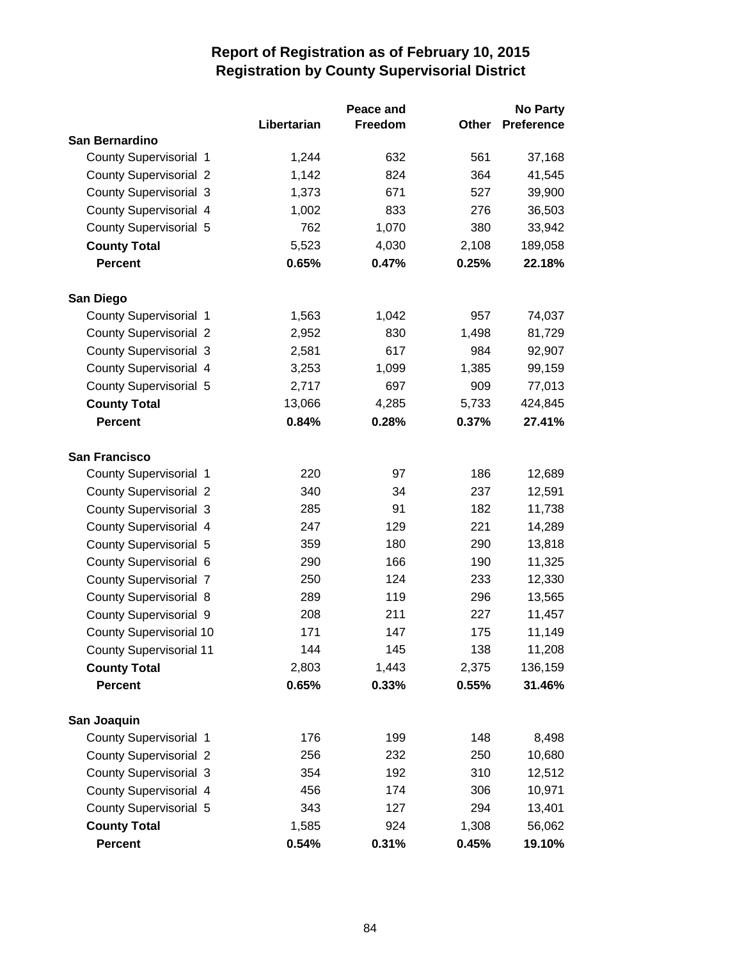|                                | Peace and   |         |       | <b>No Party</b>   |  |
|--------------------------------|-------------|---------|-------|-------------------|--|
|                                | Libertarian | Freedom | Other | <b>Preference</b> |  |
| San Bernardino                 |             |         |       |                   |  |
| <b>County Supervisorial 1</b>  | 1,244       | 632     | 561   | 37,168            |  |
| <b>County Supervisorial 2</b>  | 1,142       | 824     | 364   | 41,545            |  |
| <b>County Supervisorial 3</b>  | 1,373       | 671     | 527   | 39,900            |  |
| County Supervisorial 4         | 1,002       | 833     | 276   | 36,503            |  |
| County Supervisorial 5         | 762         | 1,070   | 380   | 33,942            |  |
| <b>County Total</b>            | 5,523       | 4,030   | 2,108 | 189,058           |  |
| <b>Percent</b>                 | 0.65%       | 0.47%   | 0.25% | 22.18%            |  |
| San Diego                      |             |         |       |                   |  |
| <b>County Supervisorial 1</b>  | 1,563       | 1,042   | 957   | 74,037            |  |
| <b>County Supervisorial 2</b>  | 2,952       | 830     | 1,498 | 81,729            |  |
| <b>County Supervisorial 3</b>  | 2,581       | 617     | 984   | 92,907            |  |
| County Supervisorial 4         | 3,253       | 1,099   | 1,385 | 99,159            |  |
| County Supervisorial 5         | 2,717       | 697     | 909   | 77,013            |  |
| <b>County Total</b>            | 13,066      | 4,285   | 5,733 | 424,845           |  |
| <b>Percent</b>                 | 0.84%       | 0.28%   | 0.37% | 27.41%            |  |
| <b>San Francisco</b>           |             |         |       |                   |  |
| <b>County Supervisorial 1</b>  | 220         | 97      | 186   | 12,689            |  |
| <b>County Supervisorial 2</b>  | 340         | 34      | 237   | 12,591            |  |
| <b>County Supervisorial 3</b>  | 285         | 91      | 182   | 11,738            |  |
| County Supervisorial 4         | 247         | 129     | 221   | 14,289            |  |
| County Supervisorial 5         | 359         | 180     | 290   | 13,818            |  |
| County Supervisorial 6         | 290         | 166     | 190   | 11,325            |  |
| <b>County Supervisorial 7</b>  | 250         | 124     | 233   | 12,330            |  |
| <b>County Supervisorial 8</b>  | 289         | 119     | 296   | 13,565            |  |
| <b>County Supervisorial 9</b>  | 208         | 211     | 227   | 11,457            |  |
| <b>County Supervisorial 10</b> | 171         | 147     | 175   | 11,149            |  |
| <b>County Supervisorial 11</b> | 144         | 145     | 138   | 11,208            |  |
| <b>County Total</b>            | 2,803       | 1,443   | 2,375 | 136,159           |  |
| <b>Percent</b>                 | 0.65%       | 0.33%   | 0.55% | 31.46%            |  |
| San Joaquin                    |             |         |       |                   |  |
| <b>County Supervisorial 1</b>  | 176         | 199     | 148   | 8,498             |  |
| <b>County Supervisorial 2</b>  | 256         | 232     | 250   | 10,680            |  |
| <b>County Supervisorial 3</b>  | 354         | 192     | 310   | 12,512            |  |
| County Supervisorial 4         | 456         | 174     | 306   | 10,971            |  |
| County Supervisorial 5         | 343         | 127     | 294   | 13,401            |  |
| <b>County Total</b>            | 1,585       | 924     | 1,308 | 56,062            |  |
| Percent                        | 0.54%       | 0.31%   | 0.45% | 19.10%            |  |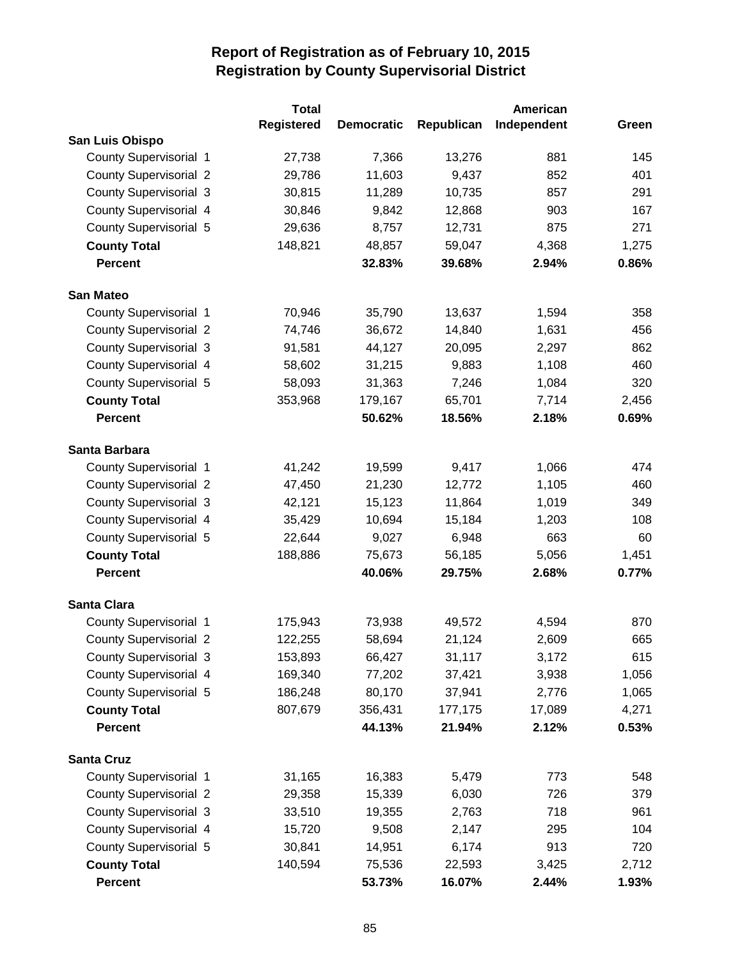|                               | <b>Total</b>      |                   |            | American    |       |
|-------------------------------|-------------------|-------------------|------------|-------------|-------|
|                               | <b>Registered</b> | <b>Democratic</b> | Republican | Independent | Green |
| San Luis Obispo               |                   |                   |            |             |       |
| <b>County Supervisorial 1</b> | 27,738            | 7,366             | 13,276     | 881         | 145   |
| <b>County Supervisorial 2</b> | 29,786            | 11,603            | 9,437      | 852         | 401   |
| <b>County Supervisorial 3</b> | 30,815            | 11,289            | 10,735     | 857         | 291   |
| County Supervisorial 4        | 30,846            | 9,842             | 12,868     | 903         | 167   |
| County Supervisorial 5        | 29,636            | 8,757             | 12,731     | 875         | 271   |
| <b>County Total</b>           | 148,821           | 48,857            | 59,047     | 4,368       | 1,275 |
| <b>Percent</b>                |                   | 32.83%            | 39.68%     | 2.94%       | 0.86% |
| <b>San Mateo</b>              |                   |                   |            |             |       |
| County Supervisorial 1        | 70,946            | 35,790            | 13,637     | 1,594       | 358   |
| <b>County Supervisorial 2</b> | 74,746            | 36,672            | 14,840     | 1,631       | 456   |
| <b>County Supervisorial 3</b> | 91,581            | 44,127            | 20,095     | 2,297       | 862   |
| County Supervisorial 4        | 58,602            | 31,215            | 9,883      | 1,108       | 460   |
| County Supervisorial 5        | 58,093            | 31,363            | 7,246      | 1,084       | 320   |
| <b>County Total</b>           | 353,968           | 179,167           | 65,701     | 7,714       | 2,456 |
| <b>Percent</b>                |                   | 50.62%            | 18.56%     | 2.18%       | 0.69% |
| Santa Barbara                 |                   |                   |            |             |       |
| County Supervisorial 1        | 41,242            | 19,599            | 9,417      | 1,066       | 474   |
| <b>County Supervisorial 2</b> | 47,450            | 21,230            | 12,772     | 1,105       | 460   |
| <b>County Supervisorial 3</b> | 42,121            | 15,123            | 11,864     | 1,019       | 349   |
| County Supervisorial 4        | 35,429            | 10,694            | 15,184     | 1,203       | 108   |
| <b>County Supervisorial 5</b> | 22,644            | 9,027             | 6,948      | 663         | 60    |
| <b>County Total</b>           | 188,886           | 75,673            | 56,185     | 5,056       | 1,451 |
| <b>Percent</b>                |                   | 40.06%            | 29.75%     | 2.68%       | 0.77% |
| <b>Santa Clara</b>            |                   |                   |            |             |       |
| County Supervisorial 1        | 175,943           | 73,938            | 49,572     | 4,594       | 870   |
| <b>County Supervisorial 2</b> | 122,255           | 58,694            | 21,124     | 2,609       | 665   |
| <b>County Supervisorial 3</b> | 153,893           | 66,427            | 31,117     | 3,172       | 615   |
| County Supervisorial 4        | 169,340           | 77,202            | 37,421     | 3,938       | 1,056 |
| County Supervisorial 5        | 186,248           | 80,170            | 37,941     | 2,776       | 1,065 |
| <b>County Total</b>           | 807,679           | 356,431           | 177,175    | 17,089      | 4,271 |
| <b>Percent</b>                |                   | 44.13%            | 21.94%     | 2.12%       | 0.53% |
| <b>Santa Cruz</b>             |                   |                   |            |             |       |
| County Supervisorial 1        | 31,165            | 16,383            | 5,479      | 773         | 548   |
| <b>County Supervisorial 2</b> | 29,358            | 15,339            | 6,030      | 726         | 379   |
| <b>County Supervisorial 3</b> | 33,510            | 19,355            | 2,763      | 718         | 961   |
| County Supervisorial 4        | 15,720            | 9,508             | 2,147      | 295         | 104   |
| County Supervisorial 5        | 30,841            | 14,951            | 6,174      | 913         | 720   |
| <b>County Total</b>           | 140,594           | 75,536            | 22,593     | 3,425       | 2,712 |
| <b>Percent</b>                |                   | 53.73%            | 16.07%     | 2.44%       | 1.93% |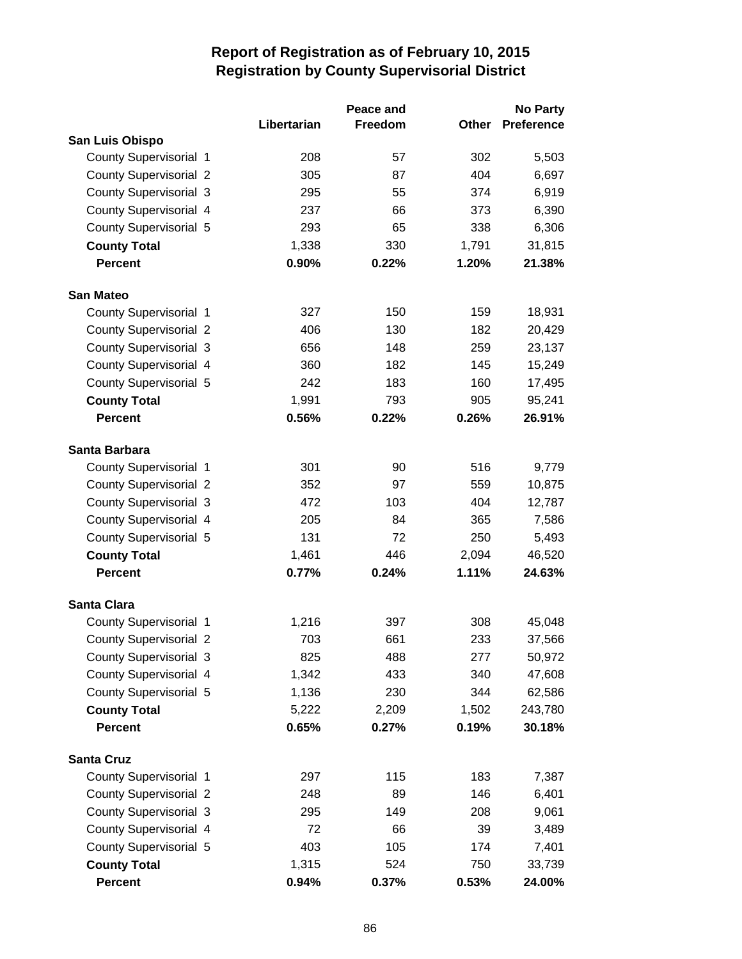|                               |             | Peace and |       | <b>No Party</b>   |
|-------------------------------|-------------|-----------|-------|-------------------|
|                               | Libertarian | Freedom   | Other | <b>Preference</b> |
| San Luis Obispo               |             |           |       |                   |
| <b>County Supervisorial 1</b> | 208         | 57        | 302   | 5,503             |
| <b>County Supervisorial 2</b> | 305         | 87        | 404   | 6,697             |
| <b>County Supervisorial 3</b> | 295         | 55        | 374   | 6,919             |
| County Supervisorial 4        | 237         | 66        | 373   | 6,390             |
| County Supervisorial 5        | 293         | 65        | 338   | 6,306             |
| <b>County Total</b>           | 1,338       | 330       | 1,791 | 31,815            |
| <b>Percent</b>                | 0.90%       | 0.22%     | 1.20% | 21.38%            |
| <b>San Mateo</b>              |             |           |       |                   |
| <b>County Supervisorial 1</b> | 327         | 150       | 159   | 18,931            |
| <b>County Supervisorial 2</b> | 406         | 130       | 182   | 20,429            |
| <b>County Supervisorial 3</b> | 656         | 148       | 259   | 23,137            |
| County Supervisorial 4        | 360         | 182       | 145   | 15,249            |
| County Supervisorial 5        | 242         | 183       | 160   | 17,495            |
| <b>County Total</b>           | 1,991       | 793       | 905   | 95,241            |
| <b>Percent</b>                | 0.56%       | 0.22%     | 0.26% | 26.91%            |
| Santa Barbara                 |             |           |       |                   |
| County Supervisorial 1        | 301         | 90        | 516   | 9,779             |
| <b>County Supervisorial 2</b> | 352         | 97        | 559   | 10,875            |
| <b>County Supervisorial 3</b> | 472         | 103       | 404   | 12,787            |
| County Supervisorial 4        | 205         | 84        | 365   | 7,586             |
| County Supervisorial 5        | 131         | 72        | 250   | 5,493             |
| <b>County Total</b>           | 1,461       | 446       | 2,094 | 46,520            |
| <b>Percent</b>                | 0.77%       | 0.24%     | 1.11% | 24.63%            |
| <b>Santa Clara</b>            |             |           |       |                   |
| <b>County Supervisorial 1</b> | 1,216       | 397       | 308   | 45,048            |
| <b>County Supervisorial 2</b> | 703         | 661       | 233   | 37,566            |
| County Supervisorial 3        | 825         | 488       | 277   | 50,972            |
| County Supervisorial 4        | 1,342       | 433       | 340   | 47,608            |
| County Supervisorial 5        | 1,136       | 230       | 344   | 62,586            |
| <b>County Total</b>           | 5,222       | 2,209     | 1,502 | 243,780           |
| <b>Percent</b>                | 0.65%       | 0.27%     | 0.19% | 30.18%            |
| <b>Santa Cruz</b>             |             |           |       |                   |
| <b>County Supervisorial 1</b> | 297         | 115       | 183   | 7,387             |
| <b>County Supervisorial 2</b> | 248         | 89        | 146   | 6,401             |
| <b>County Supervisorial 3</b> | 295         | 149       | 208   | 9,061             |
| County Supervisorial 4        | 72          | 66        | 39    | 3,489             |
| County Supervisorial 5        | 403         | 105       | 174   | 7,401             |
| <b>County Total</b>           | 1,315       | 524       | 750   | 33,739            |
| Percent                       | 0.94%       | 0.37%     | 0.53% | 24.00%            |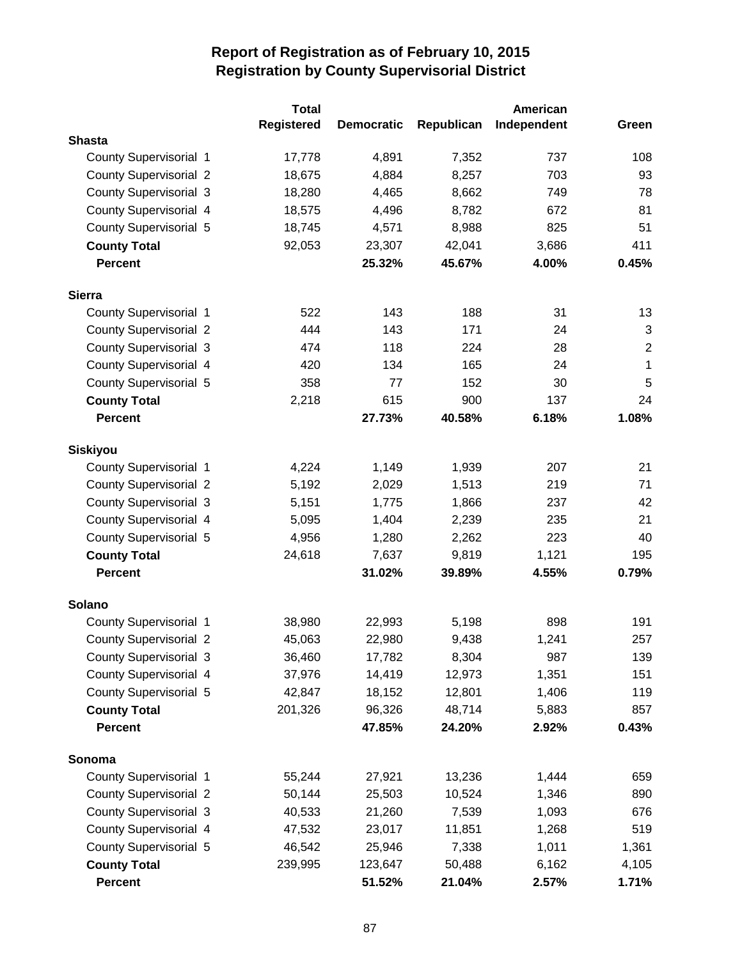|                               | <b>Total</b>      |                   | American   |             |                |  |
|-------------------------------|-------------------|-------------------|------------|-------------|----------------|--|
|                               | <b>Registered</b> | <b>Democratic</b> | Republican | Independent | Green          |  |
| <b>Shasta</b>                 |                   |                   |            |             |                |  |
| County Supervisorial 1        | 17,778            | 4,891             | 7,352      | 737         | 108            |  |
| <b>County Supervisorial 2</b> | 18,675            | 4,884             | 8,257      | 703         | 93             |  |
| <b>County Supervisorial 3</b> | 18,280            | 4,465             | 8,662      | 749         | 78             |  |
| County Supervisorial 4        | 18,575            | 4,496             | 8,782      | 672         | 81             |  |
| <b>County Supervisorial 5</b> | 18,745            | 4,571             | 8,988      | 825         | 51             |  |
| <b>County Total</b>           | 92,053            | 23,307            | 42,041     | 3,686       | 411            |  |
| <b>Percent</b>                |                   | 25.32%            | 45.67%     | 4.00%       | 0.45%          |  |
| <b>Sierra</b>                 |                   |                   |            |             |                |  |
| <b>County Supervisorial 1</b> | 522               | 143               | 188        | 31          | 13             |  |
| <b>County Supervisorial 2</b> | 444               | 143               | 171        | 24          | 3              |  |
| <b>County Supervisorial 3</b> | 474               | 118               | 224        | 28          | $\overline{c}$ |  |
| County Supervisorial 4        | 420               | 134               | 165        | 24          | 1              |  |
| County Supervisorial 5        | 358               | 77                | 152        | 30          | 5              |  |
| <b>County Total</b>           | 2,218             | 615               | 900        | 137         | 24             |  |
| <b>Percent</b>                |                   | 27.73%            | 40.58%     | 6.18%       | 1.08%          |  |
| <b>Siskiyou</b>               |                   |                   |            |             |                |  |
| County Supervisorial 1        | 4,224             | 1,149             | 1,939      | 207         | 21             |  |
| <b>County Supervisorial 2</b> | 5,192             | 2,029             | 1,513      | 219         | 71             |  |
| <b>County Supervisorial 3</b> | 5,151             | 1,775             | 1,866      | 237         | 42             |  |
| <b>County Supervisorial 4</b> | 5,095             | 1,404             | 2,239      | 235         | 21             |  |
| <b>County Supervisorial 5</b> | 4,956             | 1,280             | 2,262      | 223         | 40             |  |
| <b>County Total</b>           | 24,618            | 7,637             | 9,819      | 1,121       | 195            |  |
| <b>Percent</b>                |                   | 31.02%            | 39.89%     | 4.55%       | 0.79%          |  |
| Solano                        |                   |                   |            |             |                |  |
| County Supervisorial 1        | 38,980            | 22,993            | 5,198      | 898         | 191            |  |
| <b>County Supervisorial 2</b> | 45,063            | 22,980            | 9,438      | 1,241       | 257            |  |
| <b>County Supervisorial 3</b> | 36,460            | 17,782            | 8,304      | 987         | 139            |  |
| County Supervisorial 4        | 37,976            | 14,419            | 12,973     | 1,351       | 151            |  |
| County Supervisorial 5        | 42,847            | 18,152            | 12,801     | 1,406       | 119            |  |
| <b>County Total</b>           | 201,326           | 96,326            | 48,714     | 5,883       | 857            |  |
| <b>Percent</b>                |                   | 47.85%            | 24.20%     | 2.92%       | 0.43%          |  |
| Sonoma                        |                   |                   |            |             |                |  |
| <b>County Supervisorial 1</b> | 55,244            | 27,921            | 13,236     | 1,444       | 659            |  |
| <b>County Supervisorial 2</b> | 50,144            | 25,503            | 10,524     | 1,346       | 890            |  |
| <b>County Supervisorial 3</b> | 40,533            | 21,260            | 7,539      | 1,093       | 676            |  |
| <b>County Supervisorial 4</b> | 47,532            | 23,017            | 11,851     | 1,268       | 519            |  |
| <b>County Supervisorial 5</b> | 46,542            | 25,946            | 7,338      | 1,011       | 1,361          |  |
| <b>County Total</b>           | 239,995           | 123,647           | 50,488     | 6,162       | 4,105          |  |
| <b>Percent</b>                |                   | 51.52%            | 21.04%     | 2.57%       | 1.71%          |  |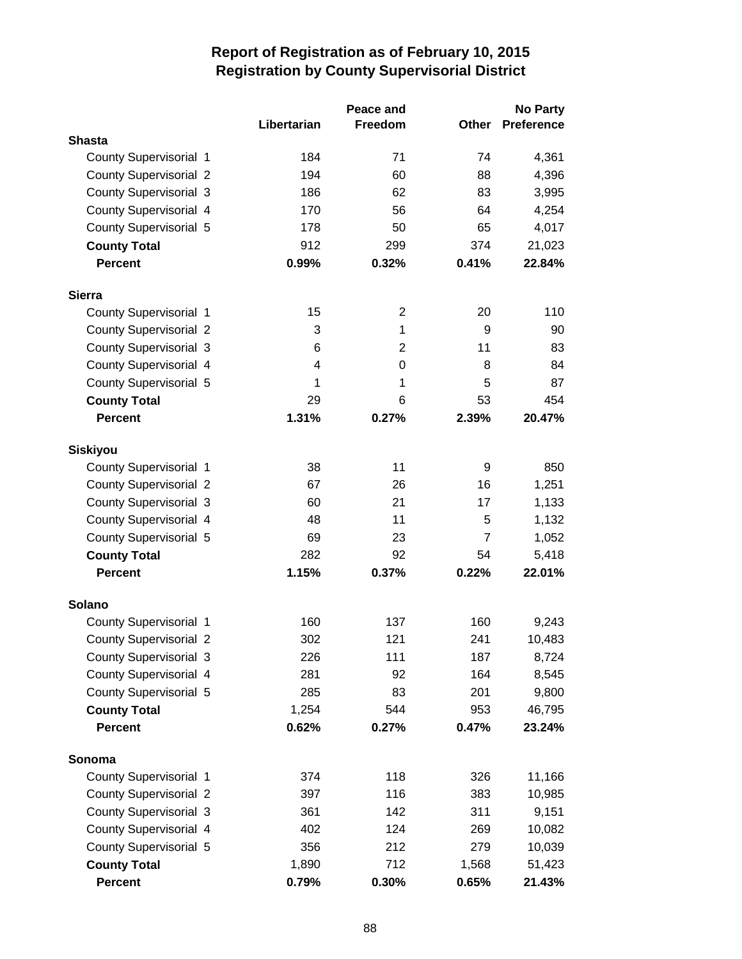|                               |             | Peace and      |       | <b>No Party</b>   |
|-------------------------------|-------------|----------------|-------|-------------------|
|                               | Libertarian | Freedom        | Other | <b>Preference</b> |
| <b>Shasta</b>                 |             |                |       |                   |
| County Supervisorial 1        | 184         | 71             | 74    | 4,361             |
| <b>County Supervisorial 2</b> | 194         | 60             | 88    | 4,396             |
| <b>County Supervisorial 3</b> | 186         | 62             | 83    | 3,995             |
| County Supervisorial 4        | 170         | 56             | 64    | 4,254             |
| County Supervisorial 5        | 178         | 50             | 65    | 4,017             |
| <b>County Total</b>           | 912         | 299            | 374   | 21,023            |
| <b>Percent</b>                | 0.99%       | 0.32%          | 0.41% | 22.84%            |
| <b>Sierra</b>                 |             |                |       |                   |
| <b>County Supervisorial 1</b> | 15          | $\overline{2}$ | 20    | 110               |
| <b>County Supervisorial 2</b> | 3           | 1              | 9     | 90                |
| <b>County Supervisorial 3</b> | 6           | 2              | 11    | 83                |
| County Supervisorial 4        | 4           | $\mathbf 0$    | 8     | 84                |
| County Supervisorial 5        | 1           | 1              | 5     | 87                |
| <b>County Total</b>           | 29          | 6              | 53    | 454               |
| <b>Percent</b>                | 1.31%       | 0.27%          | 2.39% | 20.47%            |
| <b>Siskiyou</b>               |             |                |       |                   |
| County Supervisorial 1        | 38          | 11             | 9     | 850               |
| <b>County Supervisorial 2</b> | 67          | 26             | 16    | 1,251             |
| <b>County Supervisorial 3</b> | 60          | 21             | 17    | 1,133             |
| <b>County Supervisorial 4</b> | 48          | 11             | 5     | 1,132             |
| <b>County Supervisorial 5</b> | 69          | 23             | 7     | 1,052             |
| <b>County Total</b>           | 282         | 92             | 54    | 5,418             |
| <b>Percent</b>                | 1.15%       | 0.37%          | 0.22% | 22.01%            |
| Solano                        |             |                |       |                   |
| County Supervisorial 1        | 160         | 137            | 160   | 9,243             |
| <b>County Supervisorial 2</b> | 302         | 121            | 241   | 10,483            |
| <b>County Supervisorial 3</b> | 226         | 111            | 187   | 8,724             |
| County Supervisorial 4        | 281         | 92             | 164   | 8,545             |
| County Supervisorial 5        | 285         | 83             | 201   | 9,800             |
| <b>County Total</b>           | 1,254       | 544            | 953   | 46,795            |
| <b>Percent</b>                | 0.62%       | 0.27%          | 0.47% | 23.24%            |
| Sonoma                        |             |                |       |                   |
| <b>County Supervisorial 1</b> | 374         | 118            | 326   | 11,166            |
| <b>County Supervisorial 2</b> | 397         | 116            | 383   | 10,985            |
| <b>County Supervisorial 3</b> | 361         | 142            | 311   | 9,151             |
| County Supervisorial 4        | 402         | 124            | 269   | 10,082            |
| County Supervisorial 5        | 356         | 212            | 279   | 10,039            |
| <b>County Total</b>           | 1,890       | 712            | 1,568 | 51,423            |
| <b>Percent</b>                | 0.79%       | 0.30%          | 0.65% | 21.43%            |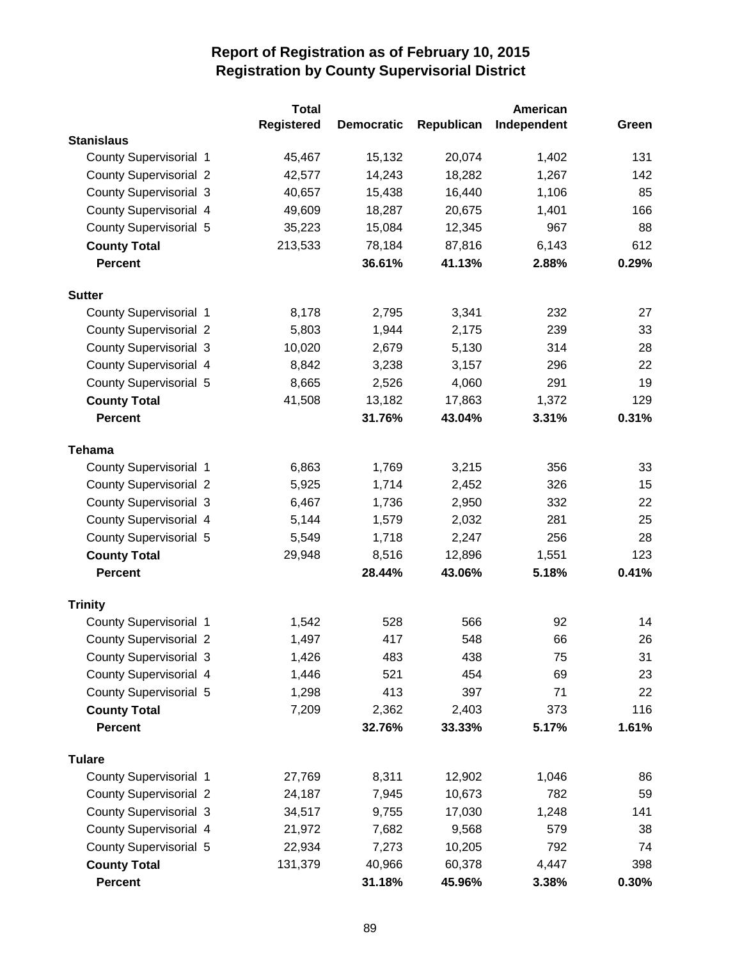|                               | <b>Total</b>      |                   | American   |             |       |
|-------------------------------|-------------------|-------------------|------------|-------------|-------|
|                               | <b>Registered</b> | <b>Democratic</b> | Republican | Independent | Green |
| <b>Stanislaus</b>             |                   |                   |            |             |       |
| County Supervisorial 1        | 45,467            | 15,132            | 20,074     | 1,402       | 131   |
| <b>County Supervisorial 2</b> | 42,577            | 14,243            | 18,282     | 1,267       | 142   |
| <b>County Supervisorial 3</b> | 40,657            | 15,438            | 16,440     | 1,106       | 85    |
| County Supervisorial 4        | 49,609            | 18,287            | 20,675     | 1,401       | 166   |
| <b>County Supervisorial 5</b> | 35,223            | 15,084            | 12,345     | 967         | 88    |
| <b>County Total</b>           | 213,533           | 78,184            | 87,816     | 6,143       | 612   |
| <b>Percent</b>                |                   | 36.61%            | 41.13%     | 2.88%       | 0.29% |
| <b>Sutter</b>                 |                   |                   |            |             |       |
| County Supervisorial 1        | 8,178             | 2,795             | 3,341      | 232         | 27    |
| <b>County Supervisorial 2</b> | 5,803             | 1,944             | 2,175      | 239         | 33    |
| <b>County Supervisorial 3</b> | 10,020            | 2,679             | 5,130      | 314         | 28    |
| <b>County Supervisorial 4</b> | 8,842             | 3,238             | 3,157      | 296         | 22    |
| County Supervisorial 5        | 8,665             | 2,526             | 4,060      | 291         | 19    |
| <b>County Total</b>           | 41,508            | 13,182            | 17,863     | 1,372       | 129   |
| <b>Percent</b>                |                   | 31.76%            | 43.04%     | 3.31%       | 0.31% |
| <b>Tehama</b>                 |                   |                   |            |             |       |
| County Supervisorial 1        | 6,863             | 1,769             | 3,215      | 356         | 33    |
| <b>County Supervisorial 2</b> | 5,925             | 1,714             | 2,452      | 326         | 15    |
| <b>County Supervisorial 3</b> | 6,467             | 1,736             | 2,950      | 332         | 22    |
| County Supervisorial 4        | 5,144             | 1,579             | 2,032      | 281         | 25    |
| <b>County Supervisorial 5</b> | 5,549             | 1,718             | 2,247      | 256         | 28    |
| <b>County Total</b>           | 29,948            | 8,516             | 12,896     | 1,551       | 123   |
| <b>Percent</b>                |                   | 28.44%            | 43.06%     | 5.18%       | 0.41% |
| <b>Trinity</b>                |                   |                   |            |             |       |
| <b>County Supervisorial 1</b> | 1,542             | 528               | 566        | 92          | 14    |
| <b>County Supervisorial 2</b> | 1,497             | 417               | 548        | 66          | 26    |
| <b>County Supervisorial 3</b> | 1,426             | 483               | 438        | 75          | 31    |
| County Supervisorial 4        | 1,446             | 521               | 454        | 69          | 23    |
| County Supervisorial 5        | 1,298             | 413               | 397        | 71          | 22    |
| <b>County Total</b>           | 7,209             | 2,362             | 2,403      | 373         | 116   |
| <b>Percent</b>                |                   | 32.76%            | 33.33%     | 5.17%       | 1.61% |
| <b>Tulare</b>                 |                   |                   |            |             |       |
| County Supervisorial 1        | 27,769            | 8,311             | 12,902     | 1,046       | 86    |
| <b>County Supervisorial 2</b> | 24,187            | 7,945             | 10,673     | 782         | 59    |
| <b>County Supervisorial 3</b> | 34,517            | 9,755             | 17,030     | 1,248       | 141   |
| County Supervisorial 4        | 21,972            | 7,682             | 9,568      | 579         | 38    |
| County Supervisorial 5        | 22,934            | 7,273             | 10,205     | 792         | 74    |
| <b>County Total</b>           | 131,379           | 40,966            | 60,378     | 4,447       | 398   |
| Percent                       |                   | 31.18%            | 45.96%     | 3.38%       | 0.30% |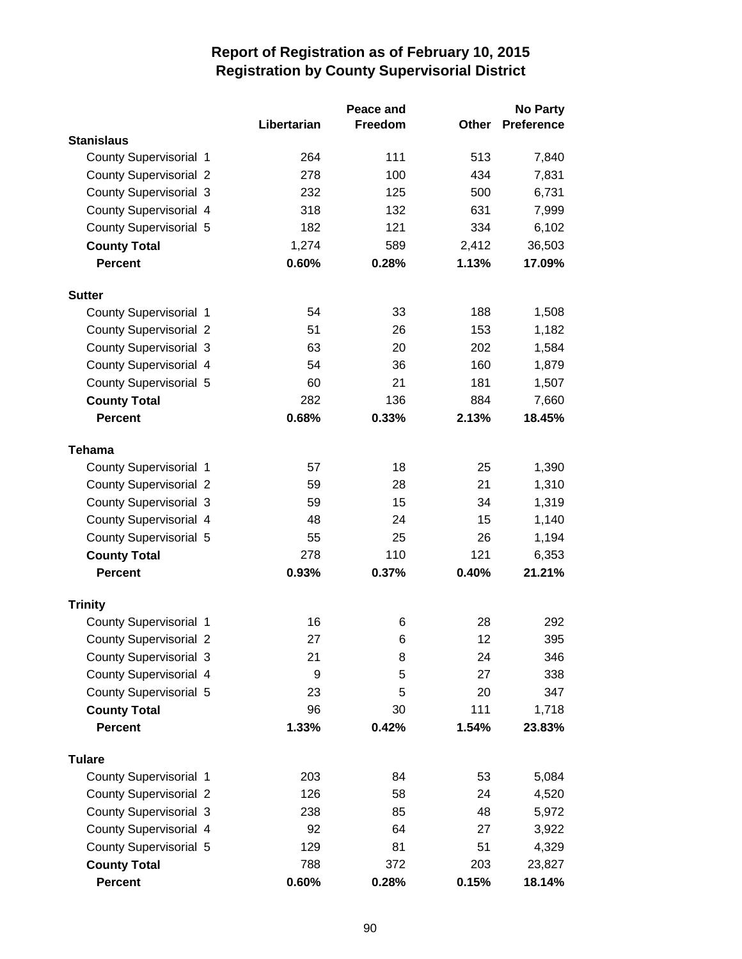|                               |             | Peace and |       | <b>No Party</b>   |
|-------------------------------|-------------|-----------|-------|-------------------|
|                               | Libertarian | Freedom   | Other | <b>Preference</b> |
| <b>Stanislaus</b>             |             |           |       |                   |
| <b>County Supervisorial 1</b> | 264         | 111       | 513   | 7,840             |
| <b>County Supervisorial 2</b> | 278         | 100       | 434   | 7,831             |
| <b>County Supervisorial 3</b> | 232         | 125       | 500   | 6,731             |
| County Supervisorial 4        | 318         | 132       | 631   | 7,999             |
| <b>County Supervisorial 5</b> | 182         | 121       | 334   | 6,102             |
| <b>County Total</b>           | 1,274       | 589       | 2,412 | 36,503            |
| <b>Percent</b>                | 0.60%       | 0.28%     | 1.13% | 17.09%            |
| <b>Sutter</b>                 |             |           |       |                   |
| <b>County Supervisorial 1</b> | 54          | 33        | 188   | 1,508             |
| <b>County Supervisorial 2</b> | 51          | 26        | 153   | 1,182             |
| <b>County Supervisorial 3</b> | 63          | 20        | 202   | 1,584             |
| County Supervisorial 4        | 54          | 36        | 160   | 1,879             |
| County Supervisorial 5        | 60          | 21        | 181   | 1,507             |
| <b>County Total</b>           | 282         | 136       | 884   | 7,660             |
| <b>Percent</b>                | 0.68%       | 0.33%     | 2.13% | 18.45%            |
| <b>Tehama</b>                 |             |           |       |                   |
| <b>County Supervisorial 1</b> | 57          | 18        | 25    | 1,390             |
| <b>County Supervisorial 2</b> | 59          | 28        | 21    | 1,310             |
| <b>County Supervisorial 3</b> | 59          | 15        | 34    | 1,319             |
| County Supervisorial 4        | 48          | 24        | 15    | 1,140             |
| <b>County Supervisorial 5</b> | 55          | 25        | 26    | 1,194             |
| <b>County Total</b>           | 278         | 110       | 121   | 6,353             |
| <b>Percent</b>                | 0.93%       | 0.37%     | 0.40% | 21.21%            |
| <b>Trinity</b>                |             |           |       |                   |
| <b>County Supervisorial 1</b> | 16          | 6         | 28    | 292               |
| <b>County Supervisorial 2</b> | 27          | 6         | 12    | 395               |
| <b>County Supervisorial 3</b> | 21          | 8         | 24    | 346               |
| County Supervisorial 4        | 9           | 5         | 27    | 338               |
| County Supervisorial 5        | 23          | 5         | 20    | 347               |
| <b>County Total</b>           | 96          | 30        | 111   | 1,718             |
| <b>Percent</b>                | 1.33%       | 0.42%     | 1.54% | 23.83%            |
| <b>Tulare</b>                 |             |           |       |                   |
| <b>County Supervisorial 1</b> | 203         | 84        | 53    | 5,084             |
| <b>County Supervisorial 2</b> | 126         | 58        | 24    | 4,520             |
| <b>County Supervisorial 3</b> | 238         | 85        | 48    | 5,972             |
| County Supervisorial 4        | 92          | 64        | 27    | 3,922             |
| County Supervisorial 5        | 129         | 81        | 51    | 4,329             |
| <b>County Total</b>           | 788         | 372       | 203   | 23,827            |
| <b>Percent</b>                | 0.60%       | 0.28%     | 0.15% | 18.14%            |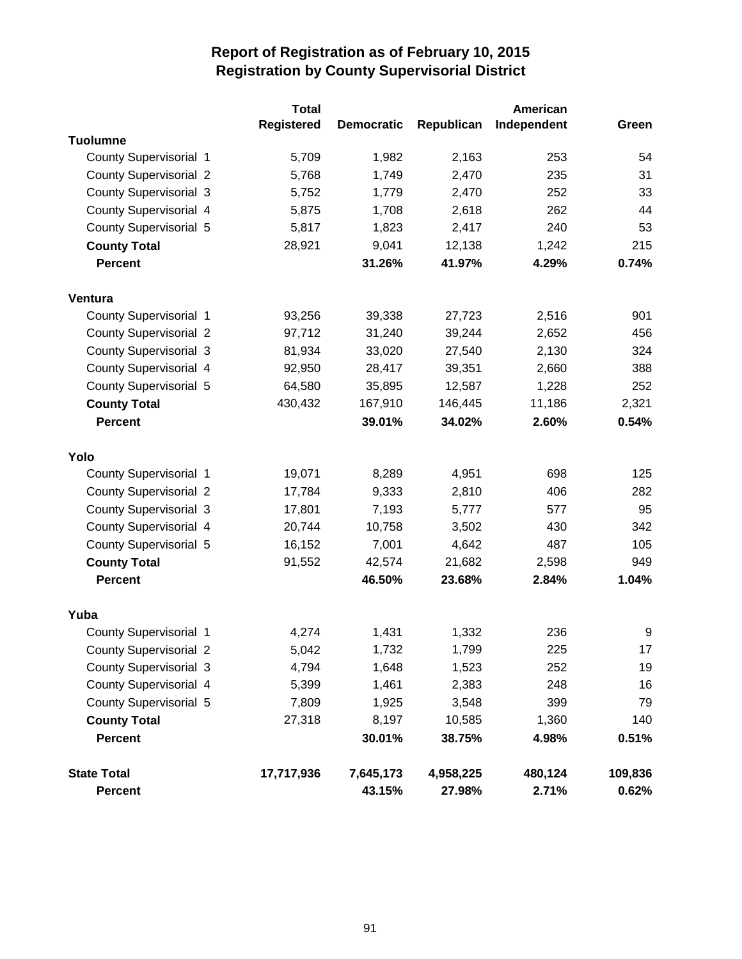|                               | <b>Total</b>      |                   |            | American    |         |
|-------------------------------|-------------------|-------------------|------------|-------------|---------|
|                               | <b>Registered</b> | <b>Democratic</b> | Republican | Independent | Green   |
| <b>Tuolumne</b>               |                   |                   |            |             |         |
| County Supervisorial 1        | 5,709             | 1,982             | 2,163      | 253         | 54      |
| <b>County Supervisorial 2</b> | 5,768             | 1,749             | 2,470      | 235         | 31      |
| <b>County Supervisorial 3</b> | 5,752             | 1,779             | 2,470      | 252         | 33      |
| County Supervisorial 4        | 5,875             | 1,708             | 2,618      | 262         | 44      |
| County Supervisorial 5        | 5,817             | 1,823             | 2,417      | 240         | 53      |
| <b>County Total</b>           | 28,921            | 9,041             | 12,138     | 1,242       | 215     |
| <b>Percent</b>                |                   | 31.26%            | 41.97%     | 4.29%       | 0.74%   |
| Ventura                       |                   |                   |            |             |         |
| County Supervisorial 1        | 93,256            | 39,338            | 27,723     | 2,516       | 901     |
| <b>County Supervisorial 2</b> | 97,712            | 31,240            | 39,244     | 2,652       | 456     |
| <b>County Supervisorial 3</b> | 81,934            | 33,020            | 27,540     | 2,130       | 324     |
| County Supervisorial 4        | 92,950            | 28,417            | 39,351     | 2,660       | 388     |
| <b>County Supervisorial 5</b> | 64,580            | 35,895            | 12,587     | 1,228       | 252     |
| <b>County Total</b>           | 430,432           | 167,910           | 146,445    | 11,186      | 2,321   |
| <b>Percent</b>                |                   | 39.01%            | 34.02%     | 2.60%       | 0.54%   |
| Yolo                          |                   |                   |            |             |         |
| County Supervisorial 1        | 19,071            | 8,289             | 4,951      | 698         | 125     |
| <b>County Supervisorial 2</b> | 17,784            | 9,333             | 2,810      | 406         | 282     |
| <b>County Supervisorial 3</b> | 17,801            | 7,193             | 5,777      | 577         | 95      |
| <b>County Supervisorial 4</b> | 20,744            | 10,758            | 3,502      | 430         | 342     |
| County Supervisorial 5        | 16,152            | 7,001             | 4,642      | 487         | 105     |
| <b>County Total</b>           | 91,552            | 42,574            | 21,682     | 2,598       | 949     |
| <b>Percent</b>                |                   | 46.50%            | 23.68%     | 2.84%       | 1.04%   |
| Yuba                          |                   |                   |            |             |         |
| <b>County Supervisorial 1</b> | 4,274             | 1,431             | 1,332      | 236         | 9       |
| <b>County Supervisorial 2</b> | 5,042             | 1,732             | 1,799      | 225         | 17      |
| <b>County Supervisorial 3</b> | 4,794             | 1,648             | 1,523      | 252         | 19      |
| County Supervisorial 4        | 5,399             | 1,461             | 2,383      | 248         | 16      |
| County Supervisorial 5        | 7,809             | 1,925             | 3,548      | 399         | 79      |
| <b>County Total</b>           | 27,318            | 8,197             | 10,585     | 1,360       | 140     |
| <b>Percent</b>                |                   | 30.01%            | 38.75%     | 4.98%       | 0.51%   |
| <b>State Total</b>            | 17,717,936        | 7,645,173         | 4,958,225  | 480,124     | 109,836 |
| <b>Percent</b>                |                   | 43.15%            | 27.98%     | 2.71%       | 0.62%   |